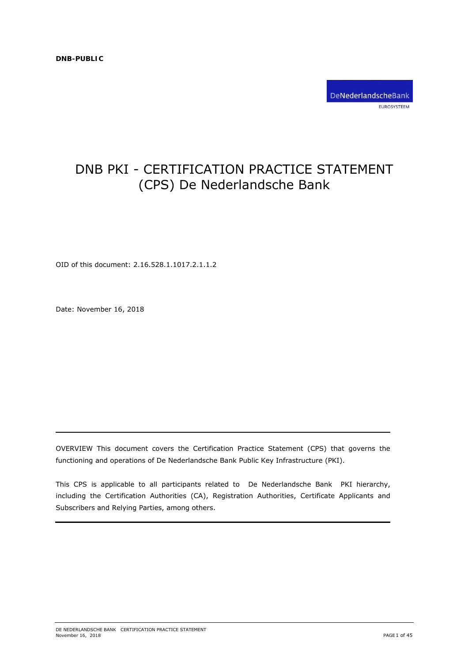

# DNB PKI - CERTIFICATION PRACTICE STATEMENT (CPS) De Nederlandsche Bank

OID of this document: 2.16.528.1.1017.2.1.1.2

Date: November 16, 2018

OVERVIEW This document covers the Certification Practice Statement (CPS) that governs the functioning and operations of De Nederlandsche Bank Public Key Infrastructure (PKI).

This CPS is applicable to all participants related to De Nederlandsche Bank PKI hierarchy, including the Certification Authorities (CA), Registration Authorities, Certificate Applicants and Subscribers and Relying Parties, among others.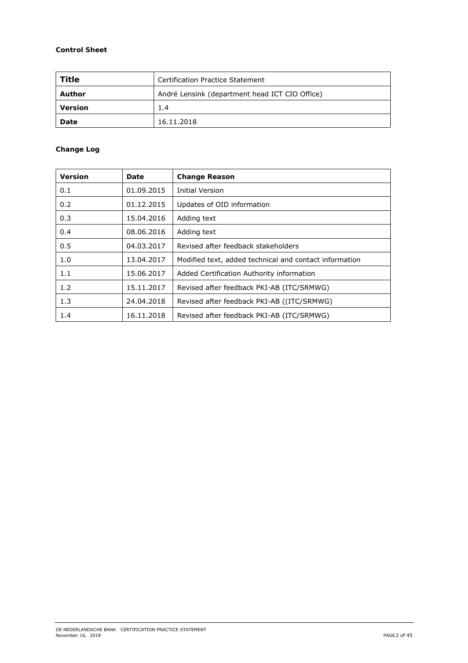# **Control Sheet**

| Title   | Certification Practice Statement               |
|---------|------------------------------------------------|
| Author  | André Lensink (department head ICT CIO Office) |
| Version | 1.4                                            |
| Date    | 16.11.2018                                     |

# **Change Log**

| <b>Version</b> | Date       | <b>Change Reason</b>                                   |
|----------------|------------|--------------------------------------------------------|
| 0.1            | 01.09.2015 | <b>Initial Version</b>                                 |
| 0.2            | 01.12.2015 | Updates of OID information                             |
| 0.3            | 15.04.2016 | Adding text                                            |
| 0.4            | 08.06.2016 | Adding text                                            |
| 0.5            | 04.03.2017 | Revised after feedback stakeholders                    |
| 1.0            | 13.04.2017 | Modified text, added technical and contact information |
| 1.1            | 15.06.2017 | Added Certification Authority information              |
| 1.2            | 15.11.2017 | Revised after feedback PKI-AB (ITC/SRMWG)              |
| 1.3            | 24.04.2018 | Revised after feedback PKI-AB ((ITC/SRMWG)             |
| 1.4            | 16.11.2018 | Revised after feedback PKI-AB (ITC/SRMWG)              |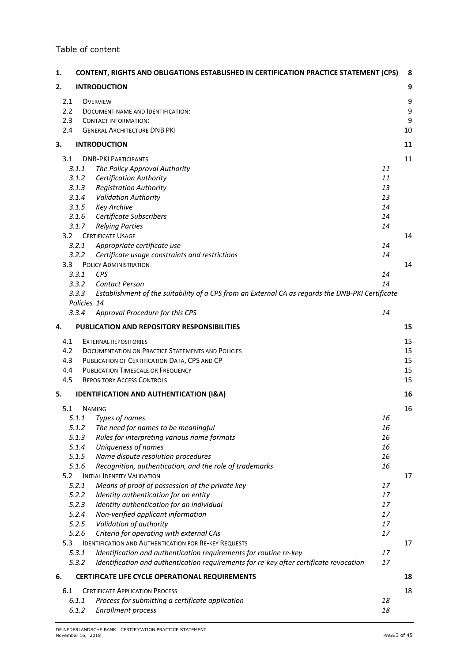# Table of content

| 1.               | <b>CONTENT, RIGHTS AND OBLIGATIONS ESTABLISHED IN CERTIFICATION PRACTICE STATEMENT (CPS)</b>              |          | 8  |
|------------------|-----------------------------------------------------------------------------------------------------------|----------|----|
| 2.               | <b>INTRODUCTION</b>                                                                                       |          | 9  |
| 2.1              | <b>OVERVIEW</b>                                                                                           |          | 9  |
| 2.2              | DOCUMENT NAME AND IDENTIFICATION:                                                                         |          | 9  |
| 2.3              | <b>CONTACT INFORMATION:</b>                                                                               |          | 9  |
| 2.4              | <b>GENERAL ARCHITECTURE DNB PKI</b>                                                                       |          | 10 |
| з.               | <b>INTRODUCTION</b>                                                                                       |          | 11 |
| 3.1              | <b>DNB-PKI PARTICIPANTS</b>                                                                               |          | 11 |
|                  | 3.1.1<br>The Policy Approval Authority                                                                    | 11       |    |
|                  | 3.1.2<br><b>Certification Authority</b>                                                                   | 11       |    |
|                  | <b>Registration Authority</b><br>3.1.3                                                                    | 13       |    |
|                  | 3.1.4<br><b>Validation Authority</b>                                                                      | 13       |    |
|                  | 3.1.5<br><b>Key Archive</b>                                                                               | 14       |    |
|                  | Certificate Subscribers<br>3.1.6<br>3.1.7                                                                 | 14<br>14 |    |
| 3.2              | <b>Relying Parties</b><br><b>CERTIFICATE USAGE</b>                                                        |          | 14 |
|                  | 3.2.1<br>Appropriate certificate use                                                                      | 14       |    |
|                  | 3.2.2<br>Certificate usage constraints and restrictions                                                   | 14       |    |
| 3.3 <sub>1</sub> | <b>POLICY ADMINISTRATION</b>                                                                              |          | 14 |
|                  | <b>CPS</b><br>3.3.1                                                                                       | 14       |    |
|                  | 3.3.2<br><b>Contact Person</b>                                                                            | 14       |    |
|                  | 3.3.3<br>Establishment of the suitability of a CPS from an External CA as regards the DNB-PKI Certificate |          |    |
|                  | Policies 14                                                                                               |          |    |
|                  | Approval Procedure for this CPS<br>3.3.4                                                                  | 14       |    |
| 4.               | <b>PUBLICATION AND REPOSITORY RESPONSIBILITIES</b>                                                        |          | 15 |
| 4.1              | <b>EXTERNAL REPOSITORIES</b>                                                                              |          | 15 |
| 4.2              | <b>DOCUMENTATION ON PRACTICE STATEMENTS AND POLICIES</b>                                                  |          | 15 |
| 4.3              | PUBLICATION OF CERTIFICATION DATA, CPS AND CP                                                             |          | 15 |
| 4.4              | PUBLICATION TIMESCALE OR FREQUENCY                                                                        |          | 15 |
| 4.5              | <b>REPOSITORY ACCESS CONTROLS</b>                                                                         |          | 15 |
| 5.               | <b>IDENTIFICATION AND AUTHENTICATION (I&amp;A)</b>                                                        |          | 16 |
| 5.1              | <b>NAMING</b>                                                                                             |          | 16 |
|                  | 5.1.1<br>Types of names                                                                                   | 16       |    |
|                  | 5.1.2<br>The need for names to be meaningful                                                              | 16       |    |
|                  | 5.1.3<br>Rules for interpreting various name formats                                                      | 16       |    |
|                  | 5.1.4<br>Uniqueness of names                                                                              | 16       |    |
|                  | Name dispute resolution procedures<br>5.1.5                                                               | 16       |    |
|                  | 5.1.6<br>Recognition, authentication, and the role of trademarks                                          | 16       |    |
| 5.2              | <b>INITIAL IDENTITY VALIDATION</b><br>5.2.1<br>Means of proof of possession of the private key            | 17       | 17 |
|                  | 5.2.2<br>Identity authentication for an entity                                                            | 17       |    |
|                  | 5.2.3<br>Identity authentication for an individual                                                        | 17       |    |
|                  | 5.2.4<br>Non-verified applicant information                                                               | 17       |    |
|                  | 5.2.5<br>Validation of authority                                                                          | 17       |    |
|                  | 5.2.6<br>Criteria for operating with external CAs                                                         | 17       |    |
| 5.3              | <b>IDENTIFICATION AND AUTHENTICATION FOR RE-KEY REQUESTS</b>                                              |          | 17 |
|                  | Identification and authentication requirements for routine re-key<br>5.3.1                                | 17       |    |
|                  | 5.3.2<br>Identification and authentication requirements for re-key after certificate revocation           | 17       |    |
| 6.               | CERTIFICATE LIFE CYCLE OPERATIONAL REQUIREMENTS                                                           |          | 18 |
| 6.1              | <b>CERTIFICATE APPLICATION PROCESS</b>                                                                    |          | 18 |
|                  | Process for submitting a certificate application<br>6.1.1                                                 | 18       |    |
|                  | 6.1.2<br>Enrollment process                                                                               | 18       |    |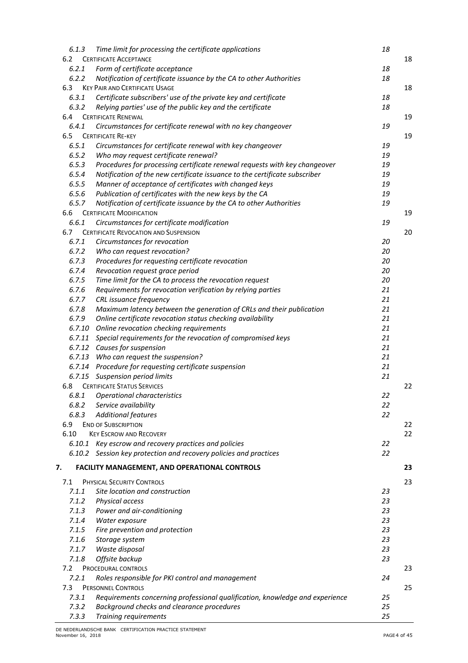| 6.1.3  | Time limit for processing the certificate applications                                    | 18 |    |
|--------|-------------------------------------------------------------------------------------------|----|----|
| 6.2    | <b>CERTIFICATE ACCEPTANCE</b>                                                             |    | 18 |
| 6.2.1  | Form of certificate acceptance                                                            | 18 |    |
| 6.2.2  | Notification of certificate issuance by the CA to other Authorities                       | 18 |    |
| 6.3    | <b>KEY PAIR AND CERTIFICATE USAGE</b>                                                     |    | 18 |
| 6.3.1  | Certificate subscribers' use of the private key and certificate                           | 18 |    |
| 6.3.2  | Relying parties' use of the public key and the certificate                                | 18 |    |
| 6.4    | <b>CERTIFICATE RENEWAL</b>                                                                |    | 19 |
| 6.4.1  | Circumstances for certificate renewal with no key changeover                              | 19 |    |
| 6.5    | <b>CERTIFICATE RE-KEY</b>                                                                 |    | 19 |
| 6.5.1  | Circumstances for certificate renewal with key changeover                                 | 19 |    |
| 6.5.2  | Who may request certificate renewal?                                                      | 19 |    |
| 6.5.3  | Procedures for processing certificate renewal requests with key changeover                | 19 |    |
| 6.5.4  | Notification of the new certificate issuance to the certificate subscriber                | 19 |    |
| 6.5.5  | Manner of acceptance of certificates with changed keys                                    | 19 |    |
| 6.5.6  | Publication of certificates with the new keys by the CA                                   | 19 |    |
| 6.5.7  | Notification of certificate issuance by the CA to other Authorities                       | 19 |    |
| 6.6    | <b>CERTIFICATE MODIFICATION</b>                                                           |    | 19 |
| 6.6.1  | Circumstances for certificate modification                                                | 19 |    |
| 6.7    | <b>CERTIFICATE REVOCATION AND SUSPENSION</b>                                              |    | 20 |
| 6.7.1  | Circumstances for revocation                                                              | 20 |    |
| 6.7.2  | Who can request revocation?                                                               | 20 |    |
| 6.7.3  | Procedures for requesting certificate revocation                                          | 20 |    |
| 6.7.4  | Revocation request grace period                                                           | 20 |    |
| 6.7.5  | Time limit for the CA to process the revocation request                                   | 20 |    |
| 6.7.6  | Requirements for revocation verification by relying parties                               | 21 |    |
| 6.7.7  | CRL issuance frequency                                                                    | 21 |    |
| 6.7.8  | Maximum latency between the generation of CRLs and their publication                      | 21 |    |
| 6.7.9  | Online certificate revocation status checking availability                                | 21 |    |
| 6.7.10 | Online revocation checking requirements                                                   | 21 |    |
| 6.7.11 | Special requirements for the revocation of compromised keys                               | 21 |    |
|        | 6.7.12 Causes for suspension                                                              | 21 |    |
| 6.7.13 | Who can request the suspension?                                                           | 21 |    |
|        |                                                                                           | 21 |    |
|        | 6.7.14 Procedure for requesting certificate suspension<br>6.7.15 Suspension period limits | 21 |    |
| 6.8    | <b>CERTIFICATE STATUS SERVICES</b>                                                        |    | 22 |
|        |                                                                                           |    |    |
|        | 6.8.1 Operational characteristics                                                         | 22 |    |
| 6.8.2  | Service availability                                                                      | 22 |    |
| 6.8.3  | <b>Additional features</b>                                                                | 22 |    |
| 6.9    | <b>END OF SUBSCRIPTION</b>                                                                |    | 22 |
| 6.10   | <b>KEY ESCROW AND RECOVERY</b>                                                            |    | 22 |
|        | 6.10.1 Key escrow and recovery practices and policies                                     | 22 |    |
|        | 6.10.2 Session key protection and recovery policies and practices                         | 22 |    |
| 7.     | <b>FACILITY MANAGEMENT, AND OPERATIONAL CONTROLS</b>                                      |    | 23 |
|        |                                                                                           |    |    |
| 7.1    | PHYSICAL SECURITY CONTROLS                                                                |    | 23 |
| 7.1.1  | Site location and construction                                                            | 23 |    |
| 7.1.2  | Physical access                                                                           | 23 |    |
| 7.1.3  | Power and air-conditioning                                                                | 23 |    |
| 7.1.4  | Water exposure                                                                            | 23 |    |
| 7.1.5  | Fire prevention and protection                                                            | 23 |    |
| 7.1.6  | Storage system                                                                            | 23 |    |
| 7.1.7  | Waste disposal                                                                            | 23 |    |
| 7.1.8  | Offsite backup                                                                            | 23 |    |
| 7.2    | PROCEDURAL CONTROLS                                                                       |    | 23 |
| 7.2.1  | Roles responsible for PKI control and management                                          | 24 |    |
| 7.3    | <b>PERSONNEL CONTROLS</b>                                                                 |    | 25 |
| 7.3.1  | Requirements concerning professional qualification, knowledge and experience              | 25 |    |
| 7.3.2  | Background checks and clearance procedures                                                | 25 |    |
| 7.3.3  | Training requirements                                                                     | 25 |    |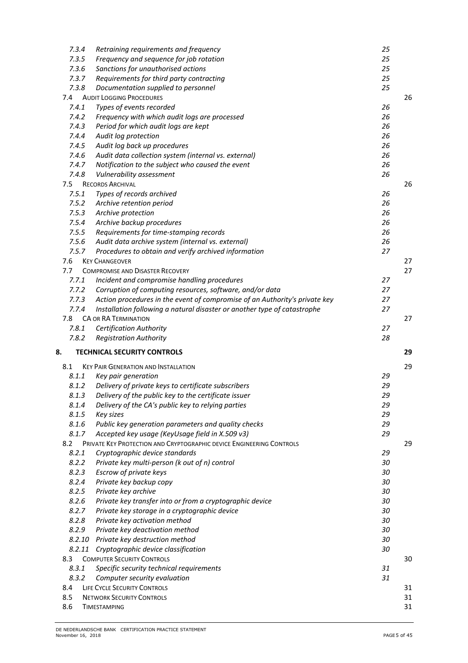| 7.3.4 | Retraining requirements and frequency                                      | 25       |    |
|-------|----------------------------------------------------------------------------|----------|----|
| 7.3.5 | Frequency and sequence for job rotation                                    | 25       |    |
| 7.3.6 | Sanctions for unauthorised actions                                         | 25       |    |
| 7.3.7 | Requirements for third party contracting                                   | 25       |    |
| 7.3.8 | Documentation supplied to personnel                                        | 25       |    |
| 7.4   | <b>AUDIT LOGGING PROCEDURES</b>                                            |          | 26 |
| 7.4.1 | Types of events recorded                                                   | 26       |    |
| 7.4.2 | Frequency with which audit logs are processed                              | 26       |    |
| 7.4.3 | Period for which audit logs are kept                                       | 26       |    |
| 7.4.4 | Audit log protection                                                       | 26       |    |
| 7.4.5 | Audit log back up procedures                                               | 26       |    |
| 7.4.6 | Audit data collection system (internal vs. external)                       | 26       |    |
| 7.4.7 | Notification to the subject who caused the event                           | 26       |    |
| 7.4.8 | Vulnerability assessment                                                   | 26       |    |
| 7.5   | <b>RECORDS ARCHIVAL</b>                                                    |          | 26 |
| 7.5.1 | Types of records archived                                                  | 26       |    |
| 7.5.2 |                                                                            | 26       |    |
| 7.5.3 | Archive retention period                                                   |          |    |
|       | Archive protection                                                         | 26       |    |
| 7.5.4 | Archive backup procedures                                                  | 26       |    |
| 7.5.5 | Requirements for time-stamping records                                     | 26       |    |
| 7.5.6 | Audit data archive system (internal vs. external)                          | 26       |    |
| 7.5.7 | Procedures to obtain and verify archived information                       | 27       |    |
| 7.6   | <b>KEY CHANGEOVER</b>                                                      |          | 27 |
| 7.7   | <b>COMPROMISE AND DISASTER RECOVERY</b>                                    |          | 27 |
| 7.7.1 | Incident and compromise handling procedures                                | 27       |    |
| 7.7.2 | Corruption of computing resources, software, and/or data                   | 27       |    |
| 7.7.3 | Action procedures in the event of compromise of an Authority's private key | 27       |    |
| 7.7.4 | Installation following a natural disaster or another type of catastrophe   | 27       |    |
| 7.8   | <b>CA OR RA TERMINATION</b>                                                |          | 27 |
| 7.8.1 | <b>Certification Authority</b>                                             | 27       |    |
| 7.8.2 | <b>Registration Authority</b>                                              | 28       |    |
| 8.    | <b>TECHNICAL SECURITY CONTROLS</b>                                         |          | 29 |
| 8.1   | <b>KEY PAIR GENERATION AND INSTALLATION</b>                                |          | 29 |
| 8.1.1 | Key pair generation                                                        | 29       |    |
| 8.1.2 | Delivery of private keys to certificate subscribers                        | 29       |    |
| 8.1.3 | Delivery of the public key to the certificate issuer                       | 29       |    |
| 8.1.4 |                                                                            |          |    |
| 8.1.5 | Delivery of the CA's public key to relying parties                         | 29<br>29 |    |
|       | Key sizes                                                                  |          |    |
| 8.1.6 | Public key generation parameters and quality checks                        | 29       |    |
| 8.1.7 | Accepted key usage (KeyUsage field in X.509 v3)                            | 29       |    |
| 8.2   | PRIVATE KEY PROTECTION AND CRYPTOGRAPHIC DEVICE ENGINEERING CONTROLS       |          | 29 |
| 8.2.1 | Cryptographic device standards                                             | 29       |    |
| 8.2.2 | Private key multi-person (k out of n) control                              | 30       |    |
| 8.2.3 | Escrow of private keys                                                     | 30       |    |
| 8.2.4 | Private key backup copy                                                    | 30       |    |
| 8.2.5 | Private key archive                                                        | 30       |    |
| 8.2.6 | Private key transfer into or from a cryptographic device                   | 30       |    |
| 8.2.7 | Private key storage in a cryptographic device                              | 30       |    |
| 8.2.8 | Private key activation method                                              | 30       |    |
| 8.2.9 | Private key deactivation method                                            | 30       |    |
|       | 8.2.10 Private key destruction method                                      | 30       |    |
|       | 8.2.11 Cryptographic device classification                                 | 30       |    |
| 8.3   | <b>COMPUTER SECURITY CONTROLS</b>                                          |          | 30 |
| 8.3.1 | Specific security technical requirements                                   | 31       |    |
| 8.3.2 | Computer security evaluation                                               | 31       |    |
| 8.4   | LIFE CYCLE SECURITY CONTROLS                                               |          | 31 |
| 8.5   | <b>NETWORK SECURITY CONTROLS</b>                                           |          | 31 |
| 8.6   | <b>TIMESTAMPING</b>                                                        |          | 31 |
|       |                                                                            |          |    |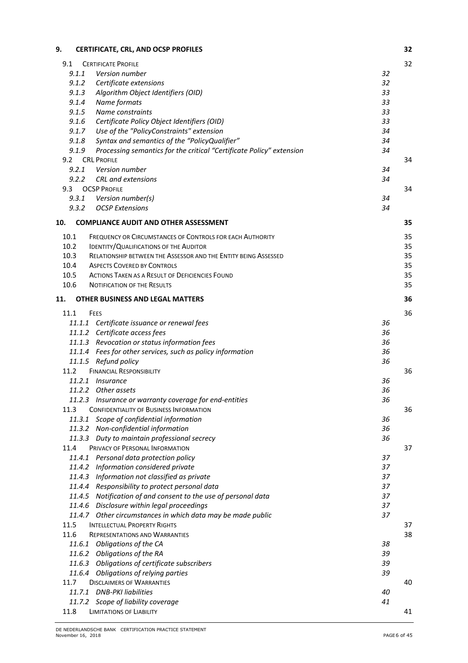| 9.     | CERTIFICATE, CRL, AND OCSP PROFILES                                    | 32 |
|--------|------------------------------------------------------------------------|----|
| 9.1    | <b>CERTIFICATE PROFILE</b>                                             | 32 |
| 9.1.1  | Version number                                                         | 32 |
| 9.1.2  | Certificate extensions                                                 | 32 |
| 9.1.3  | Algorithm Object Identifiers (OID)                                     | 33 |
| 9.1.4  | Name formats                                                           | 33 |
| 9.1.5  | Name constraints                                                       | 33 |
| 9.1.6  | Certificate Policy Object Identifiers (OID)                            | 33 |
| 9.1.7  | Use of the "PolicyConstraints" extension                               | 34 |
| 9.1.8  | Syntax and semantics of the "PolicyQualifier"                          | 34 |
| 9.1.9  | Processing semantics for the critical "Certificate Policy" extension   | 34 |
| 9.2    | <b>CRL PROFILE</b>                                                     | 34 |
| 9.2.1  | Version number                                                         | 34 |
| 9.2.2  | CRL and extensions                                                     | 34 |
| 9.3    | <b>OCSP PROFILE</b>                                                    | 34 |
| 9.3.1  | Version number(s)                                                      | 34 |
| 9.3.2  | <b>OCSP Extensions</b>                                                 | 34 |
| 10.    | <b>COMPLIANCE AUDIT AND OTHER ASSESSMENT</b>                           | 35 |
| 10.1   | FREQUENCY OR CIRCUMSTANCES OF CONTROLS FOR EACH AUTHORITY              | 35 |
| 10.2   | IDENTITY/QUALIFICATIONS OF THE AUDITOR                                 | 35 |
| 10.3   | <b>RELATIONSHIP BETWEEN THE ASSESSOR AND THE ENTITY BEING ASSESSED</b> | 35 |
| 10.4   | <b>ASPECTS COVERED BY CONTROLS</b>                                     | 35 |
| 10.5   | <b>ACTIONS TAKEN AS A RESULT OF DEFICIENCIES FOUND</b>                 | 35 |
| 10.6   | <b>NOTIFICATION OF THE RESULTS</b>                                     | 35 |
|        |                                                                        |    |
| 11.    | <b>OTHER BUSINESS AND LEGAL MATTERS</b>                                | 36 |
| 11.1   | FEES                                                                   | 36 |
|        | 11.1.1 Certificate issuance or renewal fees                            | 36 |
|        | 11.1.2 Certificate access fees                                         | 36 |
|        | 11.1.3 Revocation or status information fees                           | 36 |
|        | 11.1.4 Fees for other services, such as policy information             | 36 |
|        | 11.1.5 Refund policy                                                   | 36 |
| 11.2   | <b>FINANCIAL RESPONSIBILITY</b>                                        | 36 |
|        | 11.2.1 Insurance                                                       | 36 |
|        | 11.2.2 Other assets                                                    | 36 |
|        | 11.2.3 Insurance or warranty coverage for end-entities                 | 36 |
| 11.3   | <b>CONFIDENTIALITY OF BUSINESS INFORMATION</b>                         | 36 |
| 11.3.1 | Scope of confidential information                                      | 36 |
|        | 11.3.2 Non-confidential information                                    | 36 |
|        | 11.3.3 Duty to maintain professional secrecy                           | 36 |
| 11.4   | PRIVACY OF PERSONAL INFORMATION                                        | 37 |
|        | 11.4.1 Personal data protection policy                                 | 37 |
|        | 11.4.2 Information considered private                                  | 37 |
|        | 11.4.3 Information not classified as private                           | 37 |
|        | 11.4.4 Responsibility to protect personal data                         | 37 |
|        | 11.4.5 Notification of and consent to the use of personal data         | 37 |
|        | 11.4.6 Disclosure within legal proceedings                             | 37 |
|        | 11.4.7 Other circumstances in which data may be made public            | 37 |
| 11.5   | <b>INTELLECTUAL PROPERTY RIGHTS</b>                                    | 37 |
| 11.6   | <b>REPRESENTATIONS AND WARRANTIES</b>                                  | 38 |
|        | 11.6.1 Obligations of the CA                                           | 38 |
|        | 11.6.2 Obligations of the RA                                           | 39 |
|        | 11.6.3 Obligations of certificate subscribers                          | 39 |
|        | 11.6.4 Obligations of relying parties                                  | 39 |
| 11.7   | <b>DISCLAIMERS OF WARRANTIES</b>                                       | 40 |
|        | 11.7.1 DNB-PKI liabilities                                             | 40 |
|        | 11.7.2 Scope of liability coverage                                     | 41 |
| 11.8   | LIMITATIONS OF LIABILITY                                               | 41 |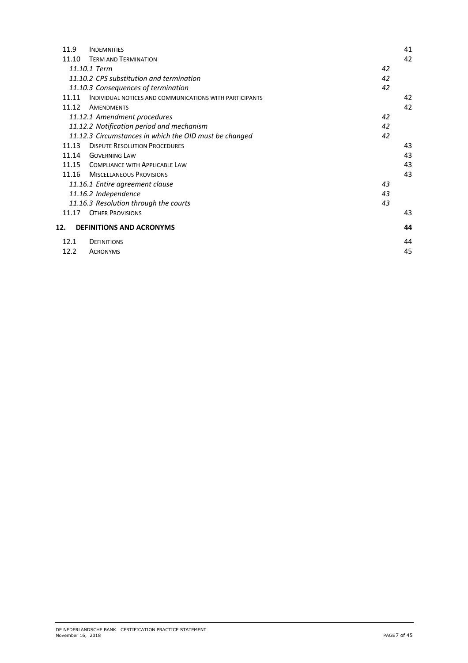| 11.9  | <b>INDEMNITIES</b>                                      |    | 41 |
|-------|---------------------------------------------------------|----|----|
| 11.10 | <b>TERM AND TERMINATION</b>                             |    | 42 |
|       | 11.10.1 Term                                            | 42 |    |
|       | 11.10.2 CPS substitution and termination                | 42 |    |
|       | 11.10.3 Consequences of termination                     | 42 |    |
| 11.11 | INDIVIDUAL NOTICES AND COMMUNICATIONS WITH PARTICIPANTS |    | 42 |
| 11.12 | <b>AMENDMENTS</b>                                       |    | 42 |
|       | 11.12.1 Amendment procedures                            | 42 |    |
|       | 11.12.2 Notification period and mechanism               | 42 |    |
|       | 11.12.3 Circumstances in which the OID must be changed  | 42 |    |
| 11.13 | <b>DISPUTE RESOLUTION PROCEDURES</b>                    |    | 43 |
| 11.14 | <b>GOVERNING LAW</b>                                    |    | 43 |
| 11.15 | <b>COMPLIANCE WITH APPLICABLE LAW</b>                   |    | 43 |
| 11.16 | <b>MISCELLANEOUS PROVISIONS</b>                         |    | 43 |
|       | 11.16.1 Entire agreement clause                         | 43 |    |
|       | 11.16.2 Independence                                    | 43 |    |
|       | 11.16.3 Resolution through the courts                   | 43 |    |
| 11.17 | <b>OTHER PROVISIONS</b>                                 |    | 43 |
| 12.   | <b>DEFINITIONS AND ACRONYMS</b>                         |    | 44 |
| 12.1  | <b>DEFINITIONS</b>                                      |    | 44 |
| 12.2  | <b>ACRONYMS</b>                                         |    | 45 |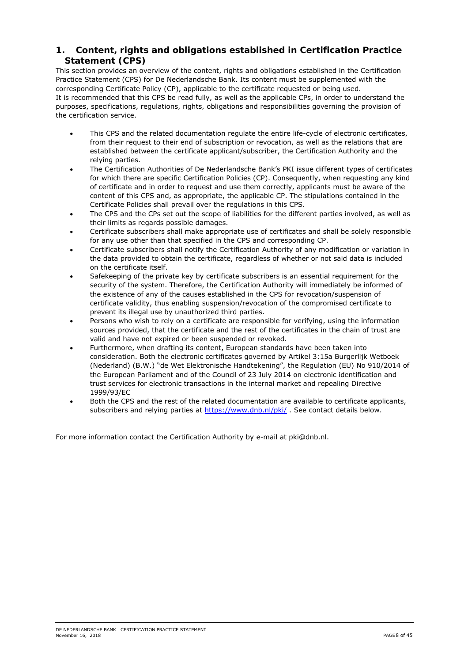# **1. Content, rights and obligations established in Certification Practice Statement (CPS)**

This section provides an overview of the content, rights and obligations established in the Certification Practice Statement (CPS) for De Nederlandsche Bank. Its content must be supplemented with the corresponding Certificate Policy (CP), applicable to the certificate requested or being used. It is recommended that this CPS be read fully, as well as the applicable CPs, in order to understand the purposes, specifications, regulations, rights, obligations and responsibilities governing the provision of the certification service.

- This CPS and the related documentation regulate the entire life-cycle of electronic certificates, from their request to their end of subscription or revocation, as well as the relations that are established between the certificate applicant/subscriber, the Certification Authority and the relying parties.
- The Certification Authorities of De Nederlandsche Bank's PKI issue different types of certificates for which there are specific Certification Policies (CP). Consequently, when requesting any kind of certificate and in order to request and use them correctly, applicants must be aware of the content of this CPS and, as appropriate, the applicable CP. The stipulations contained in the Certificate Policies shall prevail over the regulations in this CPS.
- The CPS and the CPs set out the scope of liabilities for the different parties involved, as well as their limits as regards possible damages.
- Certificate subscribers shall make appropriate use of certificates and shall be solely responsible for any use other than that specified in the CPS and corresponding CP.
- Certificate subscribers shall notify the Certification Authority of any modification or variation in the data provided to obtain the certificate, regardless of whether or not said data is included on the certificate itself.
- Safekeeping of the private key by certificate subscribers is an essential requirement for the security of the system. Therefore, the Certification Authority will immediately be informed of the existence of any of the causes established in the CPS for revocation/suspension of certificate validity, thus enabling suspension/revocation of the compromised certificate to prevent its illegal use by unauthorized third parties.
- Persons who wish to rely on a certificate are responsible for verifying, using the information sources provided, that the certificate and the rest of the certificates in the chain of trust are valid and have not expired or been suspended or revoked.
- Furthermore, when drafting its content, European standards have been taken into consideration. Both the electronic certificates governed by Artikel 3:15a Burgerlijk Wetboek (Nederland) (B.W.) "de Wet Elektronische Handtekening", the Regulation (EU) No 910/2014 of the European Parliament and of the Council of 23 July 2014 on electronic identification and trust services for electronic transactions in the internal market and repealing Directive 1999/93/EC
- Both the CPS and the rest of the related documentation are available to certificate applicants, subscribers and relying parties at https://www.dnb.nl/pki/, See contact details below.

For more information contact the Certification Authority by e-mail at pki@dnb.nl.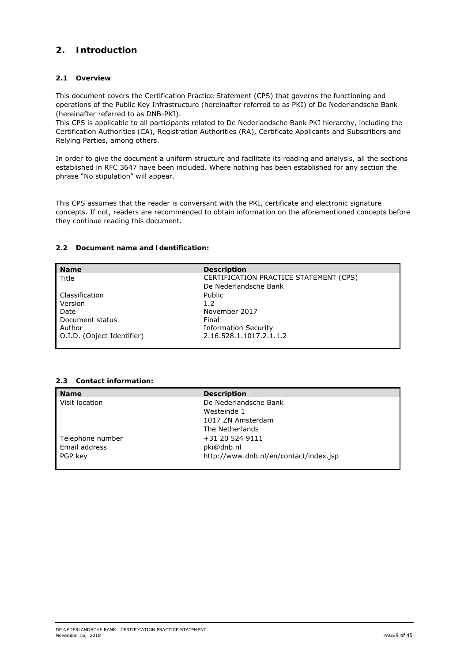# **2. Introduction**

# **2.1 Overview**

This document covers the Certification Practice Statement (CPS) that governs the functioning and operations of the Public Key Infrastructure (hereinafter referred to as PKI) of De Nederlandsche Bank (hereinafter referred to as DNB-PKI).

This CPS is applicable to all participants related to De Nederlandsche Bank PKI hierarchy, including the Certification Authorities (CA), Registration Authorities (RA), Certificate Applicants and Subscribers and Relying Parties, among others.

In order to give the document a uniform structure and facilitate its reading and analysis, all the sections established in RFC 3647 have been included. Where nothing has been established for any section the phrase "No stipulation" will appear.

This CPS assumes that the reader is conversant with the PKI, certificate and electronic signature concepts. If not, readers are recommended to obtain information on the aforementioned concepts before they continue reading this document.

# **2.2 Document name and Identification:**

| <b>Name</b>                | <b>Description</b>                     |
|----------------------------|----------------------------------------|
| Title                      | CERTIFICATION PRACTICE STATEMENT (CPS) |
|                            | De Nederlandsche Bank                  |
| Classification             | Public                                 |
| Version                    | 1.2                                    |
| Date                       | November 2017                          |
| Document status            | Final                                  |
| Author                     | <b>Information Security</b>            |
| O.I.D. (Object Identifier) | 2.16.528.1.1017.2.1.1.2                |

## **2.3 Contact information:**

| <b>Name</b>      | <b>Description</b>                     |
|------------------|----------------------------------------|
| Visit location   | De Nederlandsche Bank                  |
|                  | Westeinde 1                            |
|                  | 1017 ZN Amsterdam                      |
|                  | The Netherlands                        |
| Telephone number | +31 20 524 9111                        |
| Email address    | pki@dnb.nl                             |
| l PGP kev        | http://www.dnb.nl/en/contact/index.jsp |
|                  |                                        |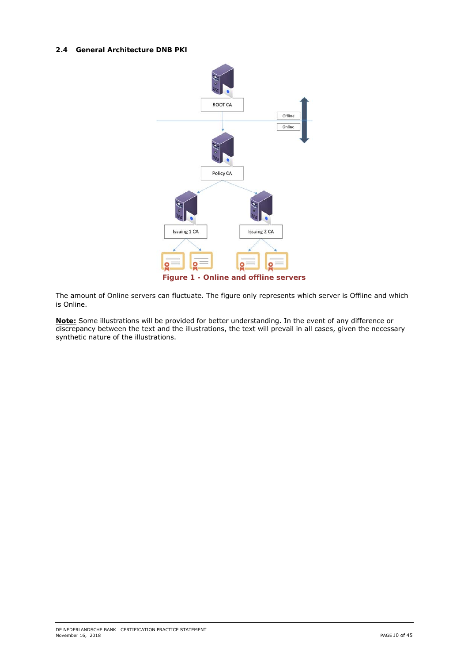#### **2.4 General Architecture DNB PKI**



The amount of Online servers can fluctuate. The figure only represents which server is Offline and which is Online.

**Note:** Some illustrations will be provided for better understanding. In the event of any difference or discrepancy between the text and the illustrations, the text will prevail in all cases, given the necessary synthetic nature of the illustrations.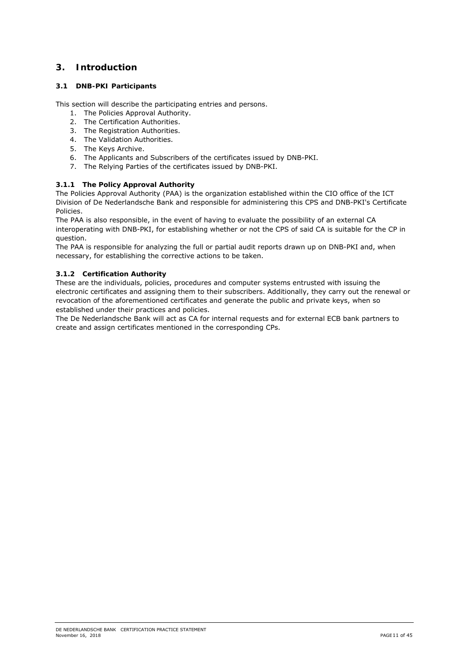# **3. Introduction**

# **3.1 DNB-PKI Participants**

This section will describe the participating entries and persons.

- 1. The Policies Approval Authority.
- 2. The Certification Authorities.
- 3. The Registration Authorities.
- 4. The Validation Authorities.
- 5. The Keys Archive.
- 6. The Applicants and Subscribers of the certificates issued by DNB-PKI.
- 7. The Relying Parties of the certificates issued by DNB-PKI.

# **3.1.1 The Policy Approval Authority**

The Policies Approval Authority (PAA) is the organization established within the CIO office of the ICT Division of De Nederlandsche Bank and responsible for administering this CPS and DNB-PKI's Certificate Policies.

The PAA is also responsible, in the event of having to evaluate the possibility of an external CA interoperating with DNB-PKI, for establishing whether or not the CPS of said CA is suitable for the CP in question.

The PAA is responsible for analyzing the full or partial audit reports drawn up on DNB-PKI and, when necessary, for establishing the corrective actions to be taken.

# **3.1.2 Certification Authority**

These are the individuals, policies, procedures and computer systems entrusted with issuing the electronic certificates and assigning them to their subscribers. Additionally, they carry out the renewal or revocation of the aforementioned certificates and generate the public and private keys, when so established under their practices and policies.

The De Nederlandsche Bank will act as CA for internal requests and for external ECB bank partners to create and assign certificates mentioned in the corresponding CPs.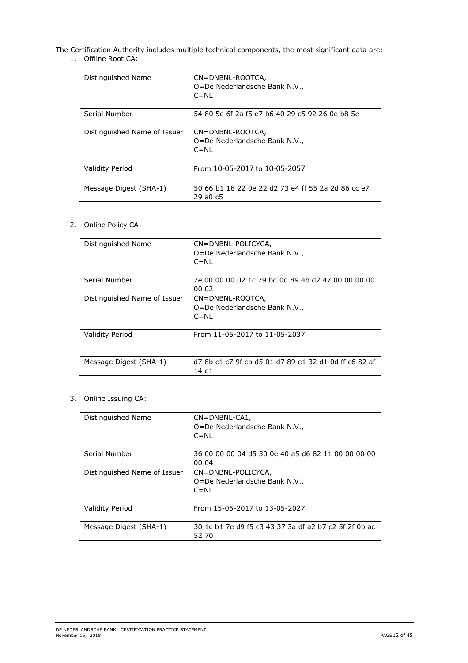The Certification Authority includes multiple technical components, the most significant data are:

1. Offline Root CA:

| Distinguished Name           | CN=DNBNL-ROOTCA,<br>O=De Nederlandsche Bank N.V.,<br>$C = NI$  |
|------------------------------|----------------------------------------------------------------|
| Serial Number                | 54 80 5e 6f 2a f5 e7 b6 40 29 c5 92 26 0e b8 5e                |
| Distinguished Name of Issuer | CN=DNBNL-ROOTCA,<br>O=De Nederlandsche Bank N.V.,<br>$C = NI$  |
| <b>Validity Period</b>       | From 10-05-2017 to 10-05-2057                                  |
| Message Digest (SHA-1)       | 50 66 b1 18 22 0e 22 d2 73 e4 ff 55 2a 2d 86 cc e7<br>29 a0 c5 |

# 2. Online Policy CA:

| Distinguished Name<br>CN=DNBNL-POLICYCA,<br>O=De Nederlandsche Bank N.V.,<br>$C = NI$<br>Serial Number<br>7e 00 00 00 02 1c 79 bd 0d 89 4b d2 47 00 00 00 00<br>00 02<br>Distinguished Name of Issuer<br>CN=DNBNL-ROOTCA,<br>O=De Nederlandsche Bank N.V.,<br>$C = NI$<br><b>Validity Period</b><br>From 11-05-2017 to 11-05-2037<br>d7 8b c1 c7 9f cb d5 01 d7 89 e1 32 d1 0d ff c6 82 af<br>Message Digest (SHA-1)<br>14 e1 |  |
|-------------------------------------------------------------------------------------------------------------------------------------------------------------------------------------------------------------------------------------------------------------------------------------------------------------------------------------------------------------------------------------------------------------------------------|--|
|                                                                                                                                                                                                                                                                                                                                                                                                                               |  |
|                                                                                                                                                                                                                                                                                                                                                                                                                               |  |
|                                                                                                                                                                                                                                                                                                                                                                                                                               |  |
|                                                                                                                                                                                                                                                                                                                                                                                                                               |  |
|                                                                                                                                                                                                                                                                                                                                                                                                                               |  |

# 3. Online Issuing CA:

| Distinguished Name           | $CN = DNBNL-CA1$ ,<br>O=De Nederlandsche Bank N.V.,<br>$C = NL$ |
|------------------------------|-----------------------------------------------------------------|
| Serial Number                | 36 00 00 00 04 d5 30 0e 40 a5 d6 82 11 00 00 00 00<br>00 04     |
| Distinguished Name of Issuer | CN=DNBNL-POLICYCA,<br>O=De Nederlandsche Bank N.V.,<br>$C = NI$ |
| <b>Validity Period</b>       | From 15-05-2017 to 13-05-2027                                   |
| Message Digest (SHA-1)       | 30 1c b1 7e d9 f5 c3 43 37 3a df a2 b7 c2 5f 2f 0b ac<br>52 70  |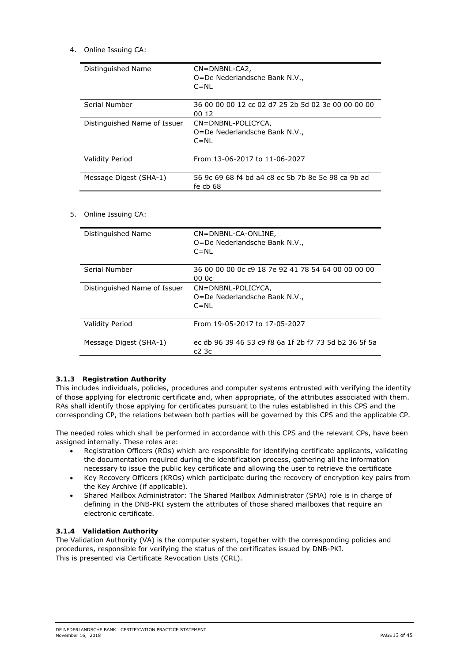# 4. Online Issuing CA:

| Distinguished Name           | $CN = DNBNL-CA2$<br>O=De Nederlandsche Bank N.V.,<br>$C = NI$   |
|------------------------------|-----------------------------------------------------------------|
| Serial Number                | 36 00 00 00 12 cc 02 d7 25 2b 5d 02 3e 00 00 00 00<br>00 12     |
| Distinguished Name of Issuer | CN=DNBNL-POLICYCA,<br>O=De Nederlandsche Bank N.V.,<br>$C = NL$ |
| <b>Validity Period</b>       | From 13-06-2017 to 11-06-2027                                   |
| Message Digest (SHA-1)       | 56 9c 69 68 f4 bd a4 c8 ec 5b 7b 8e 5e 98 ca 9b ad<br>fe cb 68  |

# 5. Online Issuing CA:

| Distinguished Name           | CN=DNBNL-CA-ONLINE,<br>O=De Nederlandsche Bank N.V.,<br>$C = NL$ |
|------------------------------|------------------------------------------------------------------|
| Serial Number                | 36 00 00 00 0c c9 18 7e 92 41 78 54 64 00 00 00 00<br>00 Oc      |
| Distinguished Name of Issuer | CN=DNBNL-POLICYCA,<br>O=De Nederlandsche Bank N.V.,<br>$C = NI$  |
| <b>Validity Period</b>       | From 19-05-2017 to 17-05-2027                                    |
| Message Digest (SHA-1)       | ec db 96 39 46 53 c9 f8 6a 1f 2b f7 73 5d b2 36 5f 5a<br>c23c    |

## **3.1.3 Registration Authority**

This includes individuals, policies, procedures and computer systems entrusted with verifying the identity of those applying for electronic certificate and, when appropriate, of the attributes associated with them. RAs shall identify those applying for certificates pursuant to the rules established in this CPS and the corresponding CP, the relations between both parties will be governed by this CPS and the applicable CP.

The needed roles which shall be performed in accordance with this CPS and the relevant CPs, have been assigned internally. These roles are:

- Registration Officers (ROs) which are responsible for identifying certificate applicants, validating the documentation required during the identification process, gathering all the information necessary to issue the public key certificate and allowing the user to retrieve the certificate
- Key Recovery Officers (KROs) which participate during the recovery of encryption key pairs from the Key Archive (if applicable).
- Shared Mailbox Administrator: The Shared Mailbox Administrator (SMA) role is in charge of defining in the DNB-PKI system the attributes of those shared mailboxes that require an electronic certificate.

## **3.1.4 Validation Authority**

The Validation Authority (VA) is the computer system, together with the corresponding policies and procedures, responsible for verifying the status of the certificates issued by DNB-PKI. This is presented via Certificate Revocation Lists (CRL).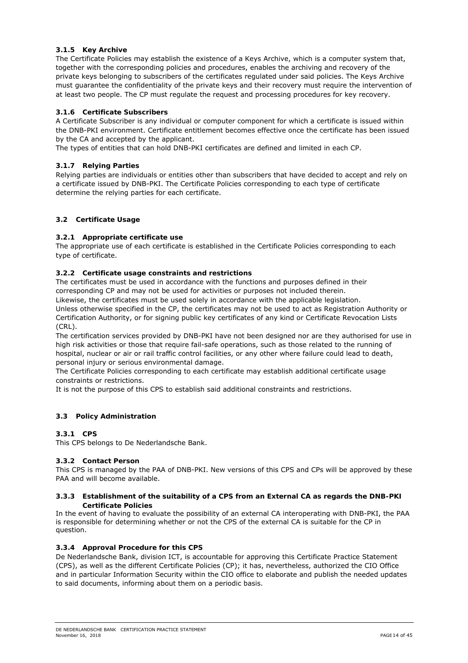# **3.1.5 Key Archive**

The Certificate Policies may establish the existence of a Keys Archive, which is a computer system that, together with the corresponding policies and procedures, enables the archiving and recovery of the private keys belonging to subscribers of the certificates regulated under said policies. The Keys Archive must guarantee the confidentiality of the private keys and their recovery must require the intervention of at least two people. The CP must regulate the request and processing procedures for key recovery.

## **3.1.6 Certificate Subscribers**

A Certificate Subscriber is any individual or computer component for which a certificate is issued within the DNB-PKI environment. Certificate entitlement becomes effective once the certificate has been issued by the CA and accepted by the applicant.

The types of entities that can hold DNB-PKI certificates are defined and limited in each CP.

# **3.1.7 Relying Parties**

Relying parties are individuals or entities other than subscribers that have decided to accept and rely on a certificate issued by DNB-PKI. The Certificate Policies corresponding to each type of certificate determine the relying parties for each certificate.

# **3.2 Certificate Usage**

# **3.2.1 Appropriate certificate use**

The appropriate use of each certificate is established in the Certificate Policies corresponding to each type of certificate.

# **3.2.2 Certificate usage constraints and restrictions**

The certificates must be used in accordance with the functions and purposes defined in their corresponding CP and may not be used for activities or purposes not included therein.

Likewise, the certificates must be used solely in accordance with the applicable legislation. Unless otherwise specified in the CP, the certificates may not be used to act as Registration Authority or Certification Authority, or for signing public key certificates of any kind or Certificate Revocation Lists (CRL).

The certification services provided by DNB-PKI have not been designed nor are they authorised for use in high risk activities or those that require fail-safe operations, such as those related to the running of hospital, nuclear or air or rail traffic control facilities, or any other where failure could lead to death, personal injury or serious environmental damage.

The Certificate Policies corresponding to each certificate may establish additional certificate usage constraints or restrictions.

It is not the purpose of this CPS to establish said additional constraints and restrictions.

## **3.3 Policy Administration**

## **3.3.1 CPS**

This CPS belongs to De Nederlandsche Bank.

## **3.3.2 Contact Person**

This CPS is managed by the PAA of DNB-PKI. New versions of this CPS and CPs will be approved by these PAA and will become available.

#### **3.3.3 Establishment of the suitability of a CPS from an External CA as regards the DNB-PKI Certificate Policies**

In the event of having to evaluate the possibility of an external CA interoperating with DNB-PKI, the PAA is responsible for determining whether or not the CPS of the external CA is suitable for the CP in question.

## **3.3.4 Approval Procedure for this CPS**

De Nederlandsche Bank, division ICT, is accountable for approving this Certificate Practice Statement (CPS), as well as the different Certificate Policies (CP); it has, nevertheless, authorized the CIO Office and in particular Information Security within the CIO office to elaborate and publish the needed updates to said documents, informing about them on a periodic basis.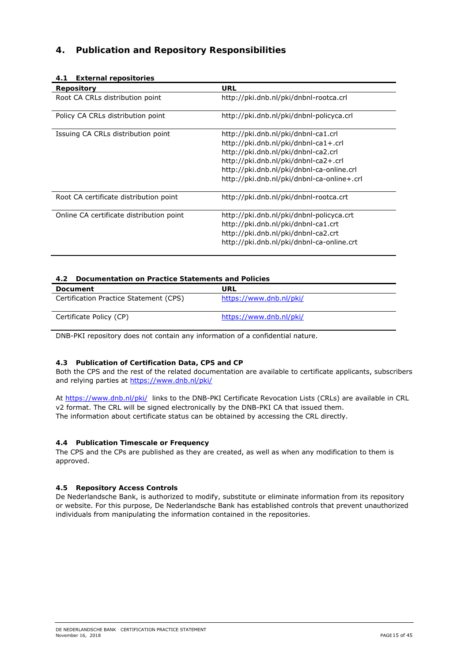# **4. Publication and Repository Responsibilities**

| 4.1<br><b>External repositories</b>      |                                                                                                                                                                                                                                                       |
|------------------------------------------|-------------------------------------------------------------------------------------------------------------------------------------------------------------------------------------------------------------------------------------------------------|
| <b>Repository</b>                        | URL                                                                                                                                                                                                                                                   |
| Root CA CRLs distribution point          | http://pki.dnb.nl/pki/dnbnl-rootca.crl                                                                                                                                                                                                                |
| Policy CA CRLs distribution point        | http://pki.dnb.nl/pki/dnbnl-policyca.crl                                                                                                                                                                                                              |
| Issuing CA CRLs distribution point       | http://pki.dnb.nl/pki/dnbnl-ca1.crl<br>http://pki.dnb.nl/pki/dnbnl-ca1+.crl<br>http://pki.dnb.nl/pki/dnbnl-ca2.crl<br>http://pki.dnb.nl/pki/dnbnl-ca2+.crl<br>http://pki.dnb.nl/pki/dnbnl-ca-online.crl<br>http://pki.dnb.nl/pki/dnbnl-ca-online+.crl |
| Root CA certificate distribution point   | http://pki.dnb.nl/pki/dnbnl-rootca.crt                                                                                                                                                                                                                |
| Online CA certificate distribution point | http://pki.dnb.nl/pki/dnbnl-policyca.crt<br>http://pki.dnb.nl/pki/dnbnl-ca1.crt<br>http://pki.dnb.nl/pki/dnbnl-ca2.crt<br>http://pki.dnb.nl/pki/dnbnl-ca-online.crt                                                                                   |

# **4.1 External repositories**

# **4.2 Documentation on Practice Statements and Policies**

| Document                               | URL                     |
|----------------------------------------|-------------------------|
| Certification Practice Statement (CPS) | https://www.dnb.nl/pki/ |
| Certificate Policy (CP)                | https://www.dnb.nl/pki/ |

DNB-PKI repository does not contain any information of a confidential nature.

## **4.3 Publication of Certification Data, CPS and CP**

Both the CPS and the rest of the related documentation are available to certificate applicants, subscribers and relying parties at https://www.dnb.nl/pki/

At https://www.dnb.nl/pki/ links to the DNB-PKI Certificate Revocation Lists (CRLs) are available in CRL v2 format. The CRL will be signed electronically by the DNB-PKI CA that issued them. The information about certificate status can be obtained by accessing the CRL directly.

## **4.4 Publication Timescale or Frequency**

The CPS and the CPs are published as they are created, as well as when any modification to them is approved.

## **4.5 Repository Access Controls**

De Nederlandsche Bank, is authorized to modify, substitute or eliminate information from its repository or website. For this purpose, De Nederlandsche Bank has established controls that prevent unauthorized individuals from manipulating the information contained in the repositories.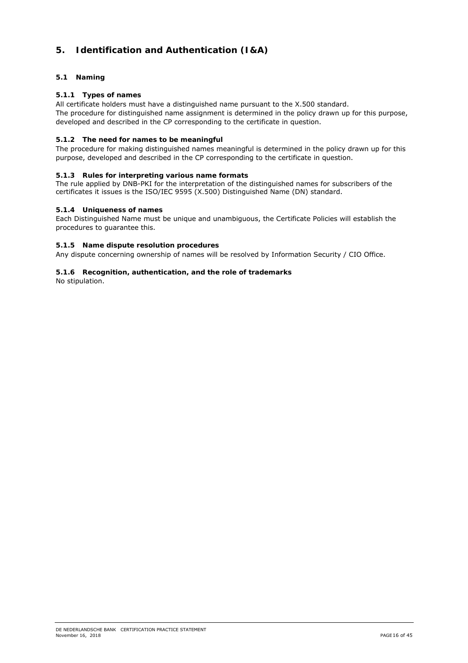# **5. Identification and Authentication (I&A)**

# **5.1 Naming**

# **5.1.1 Types of names**

All certificate holders must have a distinguished name pursuant to the X.500 standard. The procedure for distinguished name assignment is determined in the policy drawn up for this purpose, developed and described in the CP corresponding to the certificate in question.

## **5.1.2 The need for names to be meaningful**

The procedure for making distinguished names meaningful is determined in the policy drawn up for this purpose, developed and described in the CP corresponding to the certificate in question.

#### **5.1.3 Rules for interpreting various name formats**

The rule applied by DNB-PKI for the interpretation of the distinguished names for subscribers of the certificates it issues is the ISO/IEC 9595 (X.500) Distinguished Name (DN) standard.

#### **5.1.4 Uniqueness of names**

Each Distinguished Name must be unique and unambiguous, the Certificate Policies will establish the procedures to guarantee this.

#### **5.1.5 Name dispute resolution procedures**

Any dispute concerning ownership of names will be resolved by Information Security / CIO Office.

#### **5.1.6 Recognition, authentication, and the role of trademarks**

No stipulation.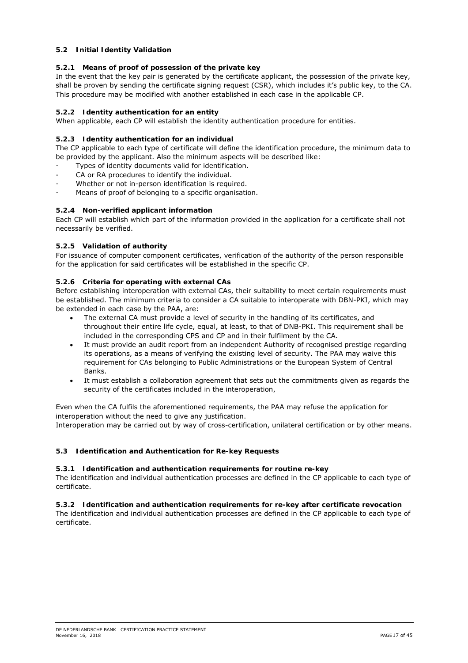# **5.2 Initial Identity Validation**

# **5.2.1 Means of proof of possession of the private key**

In the event that the key pair is generated by the certificate applicant, the possession of the private key, shall be proven by sending the certificate signing request (CSR), which includes it's public key, to the CA. This procedure may be modified with another established in each case in the applicable CP.

# **5.2.2 Identity authentication for an entity**

When applicable, each CP will establish the identity authentication procedure for entities.

# **5.2.3 Identity authentication for an individual**

The CP applicable to each type of certificate will define the identification procedure, the minimum data to be provided by the applicant. Also the minimum aspects will be described like:

- Types of identity documents valid for identification.
- CA or RA procedures to identify the individual.
- Whether or not in-person identification is required.
- Means of proof of belonging to a specific organisation.

# **5.2.4 Non-verified applicant information**

Each CP will establish which part of the information provided in the application for a certificate shall not necessarily be verified.

# **5.2.5 Validation of authority**

For issuance of computer component certificates, verification of the authority of the person responsible for the application for said certificates will be established in the specific CP.

# **5.2.6 Criteria for operating with external CAs**

Before establishing interoperation with external CAs, their suitability to meet certain requirements must be established. The minimum criteria to consider a CA suitable to interoperate with DBN-PKI, which may be extended in each case by the PAA, are:

- The external CA must provide a level of security in the handling of its certificates, and throughout their entire life cycle, equal, at least, to that of DNB-PKI. This requirement shall be included in the corresponding CPS and CP and in their fulfilment by the CA.
- It must provide an audit report from an independent Authority of recognised prestige regarding its operations, as a means of verifying the existing level of security. The PAA may waive this requirement for CAs belonging to Public Administrations or the European System of Central Banks.
- It must establish a collaboration agreement that sets out the commitments given as regards the security of the certificates included in the interoperation,

Even when the CA fulfils the aforementioned requirements, the PAA may refuse the application for interoperation without the need to give any justification.

Interoperation may be carried out by way of cross-certification, unilateral certification or by other means.

## **5.3 Identification and Authentication for Re-key Requests**

## **5.3.1 Identification and authentication requirements for routine re-key**

The identification and individual authentication processes are defined in the CP applicable to each type of certificate.

## **5.3.2 Identification and authentication requirements for re-key after certificate revocation**

The identification and individual authentication processes are defined in the CP applicable to each type of certificate.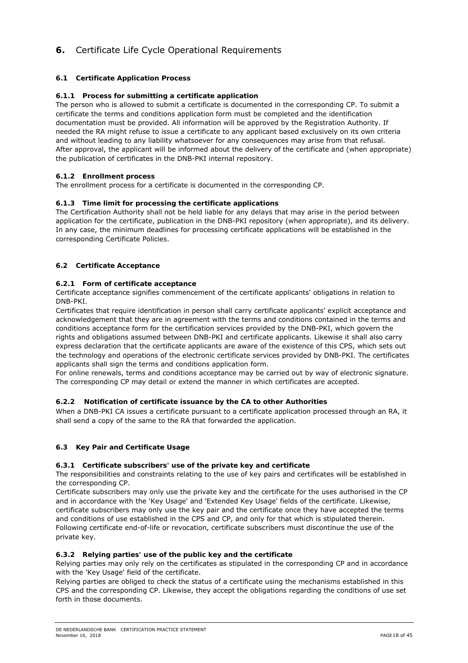# **6.** Certificate Life Cycle Operational Requirements

# **6.1 Certificate Application Process**

## **6.1.1 Process for submitting a certificate application**

The person who is allowed to submit a certificate is documented in the corresponding CP. To submit a certificate the terms and conditions application form must be completed and the identification documentation must be provided. All information will be approved by the Registration Authority. If needed the RA might refuse to issue a certificate to any applicant based exclusively on its own criteria and without leading to any liability whatsoever for any consequences may arise from that refusal. After approval, the applicant will be informed about the delivery of the certificate and (when appropriate) the publication of certificates in the DNB-PKI internal repository.

## **6.1.2 Enrollment process**

The enrollment process for a certificate is documented in the corresponding CP.

## **6.1.3 Time limit for processing the certificate applications**

The Certification Authority shall not be held liable for any delays that may arise in the period between application for the certificate, publication in the DNB-PKI repository (when appropriate), and its delivery. In any case, the minimum deadlines for processing certificate applications will be established in the corresponding Certificate Policies.

# **6.2 Certificate Acceptance**

## **6.2.1 Form of certificate acceptance**

Certificate acceptance signifies commencement of the certificate applicants' obligations in relation to DNB-PKI.

Certificates that require identification in person shall carry certificate applicants' explicit acceptance and acknowledgement that they are in agreement with the terms and conditions contained in the terms and conditions acceptance form for the certification services provided by the DNB-PKI, which govern the rights and obligations assumed between DNB-PKI and certificate applicants. Likewise it shall also carry express declaration that the certificate applicants are aware of the existence of this CPS, which sets out the technology and operations of the electronic certificate services provided by DNB-PKI. The certificates applicants shall sign the terms and conditions application form.

For online renewals, terms and conditions acceptance may be carried out by way of electronic signature. The corresponding CP may detail or extend the manner in which certificates are accepted.

## **6.2.2 Notification of certificate issuance by the CA to other Authorities**

When a DNB-PKI CA issues a certificate pursuant to a certificate application processed through an RA, it shall send a copy of the same to the RA that forwarded the application.

## **6.3 Key Pair and Certificate Usage**

## **6.3.1 Certificate subscribers' use of the private key and certificate**

The responsibilities and constraints relating to the use of key pairs and certificates will be established in the corresponding CP.

Certificate subscribers may only use the private key and the certificate for the uses authorised in the CP and in accordance with the 'Key Usage' and 'Extended Key Usage' fields of the certificate. Likewise, certificate subscribers may only use the key pair and the certificate once they have accepted the terms and conditions of use established in the CPS and CP, and only for that which is stipulated therein. Following certificate end-of-life or revocation, certificate subscribers must discontinue the use of the private key.

## **6.3.2 Relying parties' use of the public key and the certificate**

Relying parties may only rely on the certificates as stipulated in the corresponding CP and in accordance with the 'Key Usage' field of the certificate.

Relying parties are obliged to check the status of a certificate using the mechanisms established in this CPS and the corresponding CP. Likewise, they accept the obligations regarding the conditions of use set forth in those documents.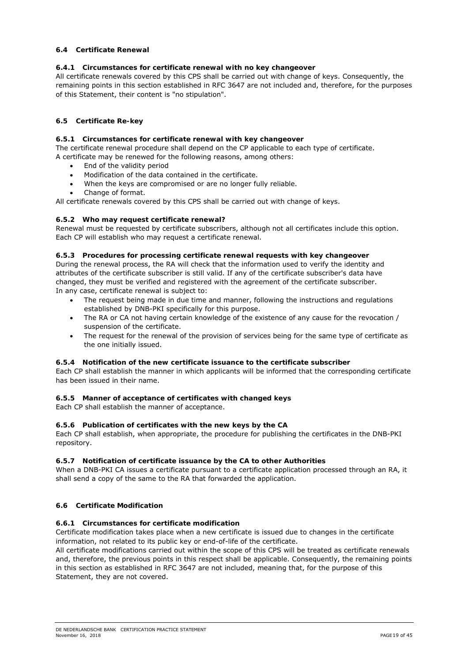## **6.4 Certificate Renewal**

#### **6.4.1 Circumstances for certificate renewal with no key changeover**

All certificate renewals covered by this CPS shall be carried out with change of keys. Consequently, the remaining points in this section established in RFC 3647 are not included and, therefore, for the purposes of this Statement, their content is "no stipulation".

## **6.5 Certificate Re-key**

#### **6.5.1 Circumstances for certificate renewal with key changeover**

The certificate renewal procedure shall depend on the CP applicable to each type of certificate. A certificate may be renewed for the following reasons, among others:

- End of the validity period
- Modification of the data contained in the certificate.
- When the keys are compromised or are no longer fully reliable.
- Change of format.

All certificate renewals covered by this CPS shall be carried out with change of keys.

#### **6.5.2 Who may request certificate renewal?**

Renewal must be requested by certificate subscribers, although not all certificates include this option. Each CP will establish who may request a certificate renewal.

### **6.5.3 Procedures for processing certificate renewal requests with key changeover**

During the renewal process, the RA will check that the information used to verify the identity and attributes of the certificate subscriber is still valid. If any of the certificate subscriber's data have changed, they must be verified and registered with the agreement of the certificate subscriber. In any case, certificate renewal is subject to:

- The request being made in due time and manner, following the instructions and regulations established by DNB-PKI specifically for this purpose.
- The RA or CA not having certain knowledge of the existence of any cause for the revocation / suspension of the certificate.
- The request for the renewal of the provision of services being for the same type of certificate as the one initially issued.

## **6.5.4 Notification of the new certificate issuance to the certificate subscriber**

Each CP shall establish the manner in which applicants will be informed that the corresponding certificate has been issued in their name.

## **6.5.5 Manner of acceptance of certificates with changed keys**

Each CP shall establish the manner of acceptance.

#### **6.5.6 Publication of certificates with the new keys by the CA**

Each CP shall establish, when appropriate, the procedure for publishing the certificates in the DNB-PKI repository.

#### **6.5.7 Notification of certificate issuance by the CA to other Authorities**

When a DNB-PKI CA issues a certificate pursuant to a certificate application processed through an RA, it shall send a copy of the same to the RA that forwarded the application.

#### **6.6 Certificate Modification**

#### **6.6.1 Circumstances for certificate modification**

Certificate modification takes place when a new certificate is issued due to changes in the certificate information, not related to its public key or end-of-life of the certificate.

All certificate modifications carried out within the scope of this CPS will be treated as certificate renewals and, therefore, the previous points in this respect shall be applicable. Consequently, the remaining points in this section as established in RFC 3647 are not included, meaning that, for the purpose of this Statement, they are not covered.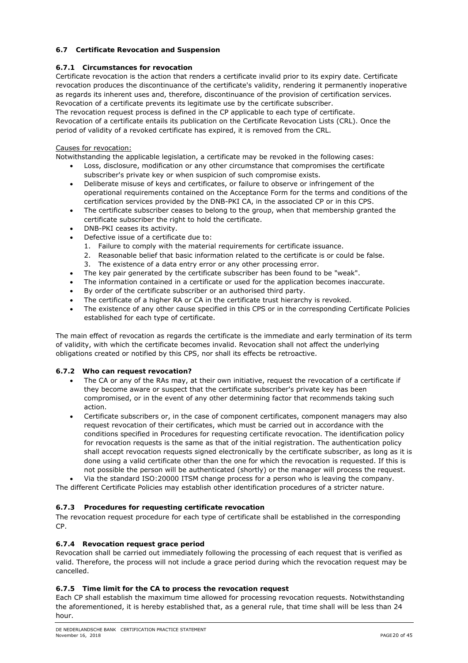# **6.7 Certificate Revocation and Suspension**

# **6.7.1 Circumstances for revocation**

Certificate revocation is the action that renders a certificate invalid prior to its expiry date. Certificate revocation produces the discontinuance of the certificate's validity, rendering it permanently inoperative as regards its inherent uses and, therefore, discontinuance of the provision of certification services. Revocation of a certificate prevents its legitimate use by the certificate subscriber. The revocation request process is defined in the CP applicable to each type of certificate. Revocation of a certificate entails its publication on the Certificate Revocation Lists (CRL). Once the period of validity of a revoked certificate has expired, it is removed from the CRL.

# Causes for revocation:

Notwithstanding the applicable legislation, a certificate may be revoked in the following cases:

- Loss, disclosure, modification or any other circumstance that compromises the certificate subscriber's private key or when suspicion of such compromise exists.
- Deliberate misuse of keys and certificates, or failure to observe or infringement of the operational requirements contained on the Acceptance Form for the terms and conditions of the certification services provided by the DNB-PKI CA, in the associated CP or in this CPS.
- The certificate subscriber ceases to belong to the group, when that membership granted the certificate subscriber the right to hold the certificate.
- DNB-PKI ceases its activity.
- Defective issue of a certificate due to:
	- 1. Failure to comply with the material requirements for certificate issuance.
	- 2. Reasonable belief that basic information related to the certificate is or could be false.
	- 3. The existence of a data entry error or any other processing error.
- The key pair generated by the certificate subscriber has been found to be "weak".
- The information contained in a certificate or used for the application becomes inaccurate.
- By order of the certificate subscriber or an authorised third party.
- The certificate of a higher RA or CA in the certificate trust hierarchy is revoked.
- The existence of any other cause specified in this CPS or in the corresponding Certificate Policies established for each type of certificate.

The main effect of revocation as regards the certificate is the immediate and early termination of its term of validity, with which the certificate becomes invalid. Revocation shall not affect the underlying obligations created or notified by this CPS, nor shall its effects be retroactive.

# **6.7.2 Who can request revocation?**

- The CA or any of the RAs may, at their own initiative, request the revocation of a certificate if they become aware or suspect that the certificate subscriber's private key has been compromised, or in the event of any other determining factor that recommends taking such action.
- Certificate subscribers or, in the case of component certificates, component managers may also request revocation of their certificates, which must be carried out in accordance with the conditions specified in *Procedures for requesting certificate revocation*. The identification policy for revocation requests is the same as that of the initial registration. The authentication policy shall accept revocation requests signed electronically by the certificate subscriber, as long as it is done using a valid certificate other than the one for which the revocation is requested. If this is not possible the person will be authenticated (shortly) or the manager will process the request.
- Via the standard ISO:20000 ITSM change process for a person who is leaving the company.

The different Certificate Policies may establish other identification procedures of a stricter nature.

# **6.7.3 Procedures for requesting certificate revocation**

The revocation request procedure for each type of certificate shall be established in the corresponding CP.

# **6.7.4 Revocation request grace period**

Revocation shall be carried out immediately following the processing of each request that is verified as valid. Therefore, the process will not include a grace period during which the revocation request may be cancelled.

# **6.7.5 Time limit for the CA to process the revocation request**

Each CP shall establish the maximum time allowed for processing revocation requests. Notwithstanding the aforementioned, it is hereby established that, as a general rule, that time shall will be less than 24 hour.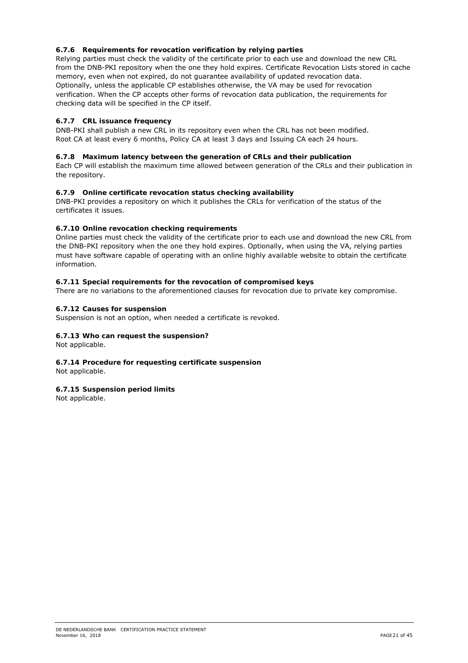# **6.7.6 Requirements for revocation verification by relying parties**

Relying parties must check the validity of the certificate prior to each use and download the new CRL from the DNB-PKI repository when the one they hold expires. Certificate Revocation Lists stored in cache memory, even when not expired, do not guarantee availability of updated revocation data. Optionally, unless the applicable CP establishes otherwise, the VA may be used for revocation verification. When the CP accepts other forms of revocation data publication, the requirements for checking data will be specified in the CP itself.

# **6.7.7 CRL issuance frequency**

DNB-PKI shall publish a new CRL in its repository even when the CRL has not been modified. Root CA at least every 6 months, Policy CA at least 3 days and Issuing CA each 24 hours.

# **6.7.8 Maximum latency between the generation of CRLs and their publication**

Each CP will establish the maximum time allowed between generation of the CRLs and their publication in the repository.

# **6.7.9 Online certificate revocation status checking availability**

DNB-PKI provides a repository on which it publishes the CRLs for verification of the status of the certificates it issues.

## **6.7.10 Online revocation checking requirements**

Online parties must check the validity of the certificate prior to each use and download the new CRL from the DNB-PKI repository when the one they hold expires. Optionally, when using the VA, relying parties must have software capable of operating with an online highly available website to obtain the certificate information.

## **6.7.11 Special requirements for the revocation of compromised keys**

There are no variations to the aforementioned clauses for revocation due to private key compromise.

## **6.7.12 Causes for suspension**

Suspension is not an option, when needed a certificate is revoked.

## **6.7.13 Who can request the suspension?**

Not applicable.

# **6.7.14 Procedure for requesting certificate suspension**

Not applicable.

## **6.7.15 Suspension period limits**

Not applicable.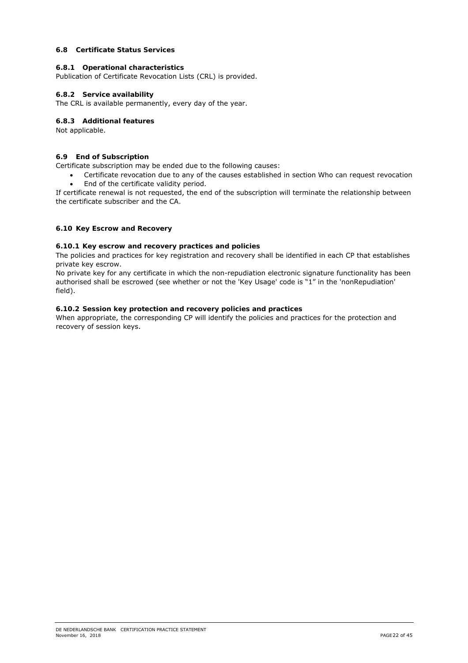## **6.8 Certificate Status Services**

#### **6.8.1 Operational characteristics**

Publication of Certificate Revocation Lists (CRL) is provided.

#### **6.8.2 Service availability**

The CRL is available permanently, every day of the year.

#### **6.8.3 Additional features**

Not applicable.

#### **6.9 End of Subscription**

Certificate subscription may be ended due to the following causes:

 Certificate revocation due to any of the causes established in section *Who can request revocation* End of the certificate validity period.

If certificate renewal is not requested, the end of the subscription will terminate the relationship between the certificate subscriber and the CA.

## **6.10 Key Escrow and Recovery**

# **6.10.1 Key escrow and recovery practices and policies**

The policies and practices for key registration and recovery shall be identified in each CP that establishes private key escrow.

No private key for any certificate in which the non-repudiation electronic signature functionality has been authorised shall be escrowed (see whether or not the 'Key Usage' code is "1" in the 'nonRepudiation' field).

#### **6.10.2 Session key protection and recovery policies and practices**

When appropriate, the corresponding CP will identify the policies and practices for the protection and recovery of session keys.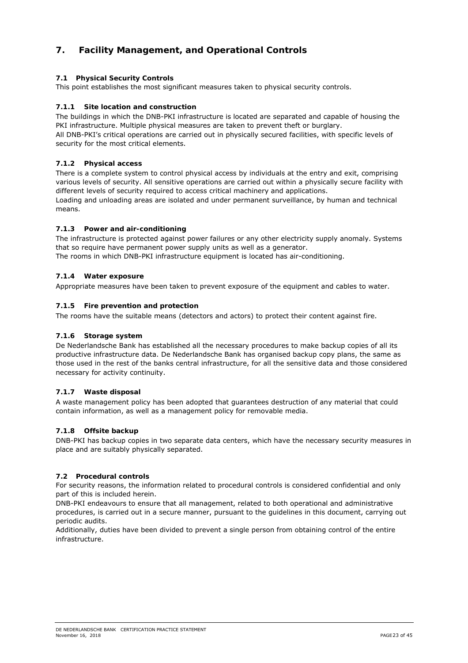# **7. Facility Management, and Operational Controls**

# **7.1 Physical Security Controls**

This point establishes the most significant measures taken to physical security controls.

# **7.1.1 Site location and construction**

The buildings in which the DNB-PKI infrastructure is located are separated and capable of housing the PKI infrastructure. Multiple physical measures are taken to prevent theft or burglary. All DNB-PKI's critical operations are carried out in physically secured facilities, with specific levels of security for the most critical elements.

## **7.1.2 Physical access**

There is a complete system to control physical access by individuals at the entry and exit, comprising various levels of security. All sensitive operations are carried out within a physically secure facility with different levels of security required to access critical machinery and applications. Loading and unloading areas are isolated and under permanent surveillance, by human and technical means.

# **7.1.3 Power and air-conditioning**

The infrastructure is protected against power failures or any other electricity supply anomaly. Systems that so require have permanent power supply units as well as a generator.

The rooms in which DNB-PKI infrastructure equipment is located has air-conditioning.

## **7.1.4 Water exposure**

Appropriate measures have been taken to prevent exposure of the equipment and cables to water.

## **7.1.5 Fire prevention and protection**

The rooms have the suitable means (detectors and actors) to protect their content against fire.

## **7.1.6 Storage system**

De Nederlandsche Bank has established all the necessary procedures to make backup copies of all its productive infrastructure data. De Nederlandsche Bank has organised backup copy plans, the same as those used in the rest of the banks central infrastructure, for all the sensitive data and those considered necessary for activity continuity.

## **7.1.7 Waste disposal**

A waste management policy has been adopted that guarantees destruction of any material that could contain information, as well as a management policy for removable media.

## **7.1.8 Offsite backup**

DNB-PKI has backup copies in two separate data centers, which have the necessary security measures in place and are suitably physically separated.

## **7.2 Procedural controls**

For security reasons, the information related to procedural controls is considered confidential and only part of this is included herein.

DNB-PKI endeavours to ensure that all management, related to both operational and administrative procedures, is carried out in a secure manner, pursuant to the guidelines in this document, carrying out periodic audits.

Additionally, duties have been divided to prevent a single person from obtaining control of the entire infrastructure.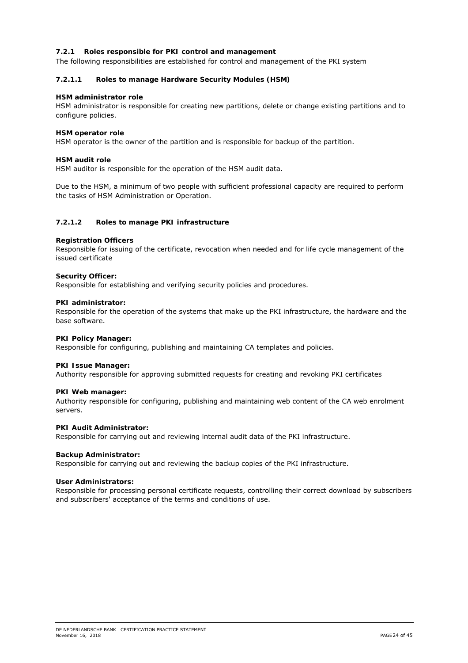# **7.2.1 Roles responsible for PKI control and management**

The following responsibilities are established for control and management of the PKI system

#### **7.2.1.1 Roles to manage Hardware Security Modules (HSM)**

#### **HSM administrator role**

HSM administrator is responsible for creating new partitions, delete or change existing partitions and to configure policies.

## **HSM operator role**

HSM operator is the owner of the partition and is responsible for backup of the partition.

#### **HSM audit role**

HSM auditor is responsible for the operation of the HSM audit data.

Due to the HSM, a minimum of two people with sufficient professional capacity are required to perform the tasks of HSM Administration or Operation.

#### **7.2.1.2 Roles to manage PKI infrastructure**

#### **Registration Officers**

Responsible for issuing of the certificate, revocation when needed and for life cycle management of the issued certificate

#### **Security Officer:**

Responsible for establishing and verifying security policies and procedures.

#### **PKI administrator:**

Responsible for the operation of the systems that make up the PKI infrastructure, the hardware and the base software.

#### **PKI Policy Manager:**

Responsible for configuring, publishing and maintaining CA templates and policies.

#### **PKI Issue Manager:**

Authority responsible for approving submitted requests for creating and revoking PKI certificates

#### **PKI Web manager:**

Authority responsible for configuring, publishing and maintaining web content of the CA web enrolment servers.

#### **PKI Audit Administrator:**

Responsible for carrying out and reviewing internal audit data of the PKI infrastructure.

#### **Backup Administrator:**

Responsible for carrying out and reviewing the backup copies of the PKI infrastructure.

#### **User Administrators:**

Responsible for processing personal certificate requests, controlling their correct download by subscribers and subscribers' acceptance of the terms and conditions of use.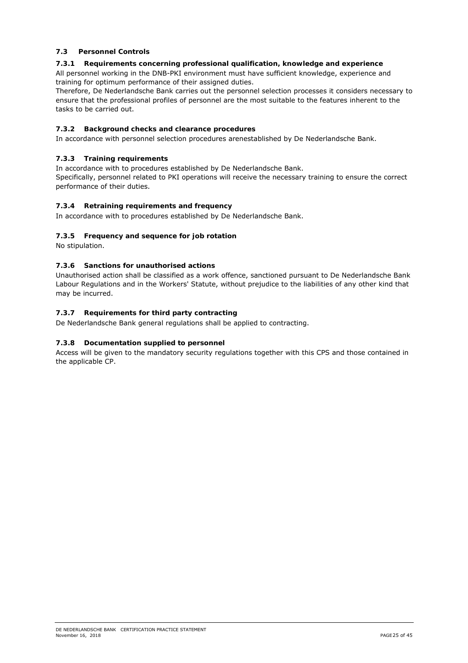# **7.3 Personnel Controls**

# **7.3.1 Requirements concerning professional qualification, knowledge and experience**

All personnel working in the DNB-PKI environment must have sufficient knowledge, experience and training for optimum performance of their assigned duties.

Therefore, De Nederlandsche Bank carries out the personnel selection processes it considers necessary to ensure that the professional profiles of personnel are the most suitable to the features inherent to the tasks to be carried out.

# **7.3.2 Background checks and clearance procedures**

In accordance with personnel selection procedures arenestablished by De Nederlandsche Bank.

# **7.3.3 Training requirements**

In accordance with to procedures established by De Nederlandsche Bank. Specifically, personnel related to PKI operations will receive the necessary training to ensure the correct

performance of their duties.

# **7.3.4 Retraining requirements and frequency**

In accordance with to procedures established by De Nederlandsche Bank.

# **7.3.5 Frequency and sequence for job rotation**

No stipulation.

# **7.3.6 Sanctions for unauthorised actions**

Unauthorised action shall be classified as a work offence, sanctioned pursuant to De Nederlandsche Bank Labour Regulations and in the Workers' Statute, without prejudice to the liabilities of any other kind that may be incurred.

# **7.3.7 Requirements for third party contracting**

De Nederlandsche Bank general regulations shall be applied to contracting.

## **7.3.8 Documentation supplied to personnel**

Access will be given to the mandatory security regulations together with this CPS and those contained in the applicable CP.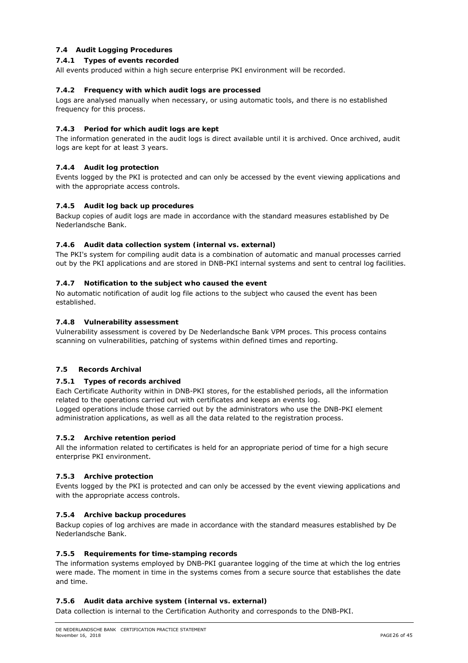# **7.4 Audit Logging Procedures**

## **7.4.1 Types of events recorded**

All events produced within a high secure enterprise PKI environment will be recorded.

#### **7.4.2 Frequency with which audit logs are processed**

Logs are analysed manually when necessary, or using automatic tools, and there is no established frequency for this process.

#### **7.4.3 Period for which audit logs are kept**

The information generated in the audit logs is direct available until it is archived. Once archived, audit logs are kept for at least 3 years.

#### **7.4.4 Audit log protection**

Events logged by the PKI is protected and can only be accessed by the event viewing applications and with the appropriate access controls.

#### **7.4.5 Audit log back up procedures**

Backup copies of audit logs are made in accordance with the standard measures established by De Nederlandsche Bank.

#### **7.4.6 Audit data collection system (internal vs. external)**

The PKI's system for compiling audit data is a combination of automatic and manual processes carried out by the PKI applications and are stored in DNB-PKI internal systems and sent to central log facilities.

#### **7.4.7 Notification to the subject who caused the event**

No automatic notification of audit log file actions to the subject who caused the event has been established.

#### **7.4.8 Vulnerability assessment**

Vulnerability assessment is covered by De Nederlandsche Bank VPM proces. This process contains scanning on vulnerabilities, patching of systems within defined times and reporting.

## **7.5 Records Archival**

#### **7.5.1 Types of records archived**

Each Certificate Authority within in DNB-PKI stores, for the established periods, all the information related to the operations carried out with certificates and keeps an events log. Logged operations include those carried out by the administrators who use the DNB-PKI element administration applications, as well as all the data related to the registration process.

#### **7.5.2 Archive retention period**

All the information related to certificates is held for an appropriate period of time for a high secure enterprise PKI environment.

#### **7.5.3 Archive protection**

Events logged by the PKI is protected and can only be accessed by the event viewing applications and with the appropriate access controls.

## **7.5.4 Archive backup procedures**

Backup copies of log archives are made in accordance with the standard measures established by De Nederlandsche Bank.

#### **7.5.5 Requirements for time-stamping records**

The information systems employed by DNB-PKI guarantee logging of the time at which the log entries were made. The moment in time in the systems comes from a secure source that establishes the date and time.

#### **7.5.6 Audit data archive system (internal vs. external)**

Data collection is internal to the Certification Authority and corresponds to the DNB-PKI.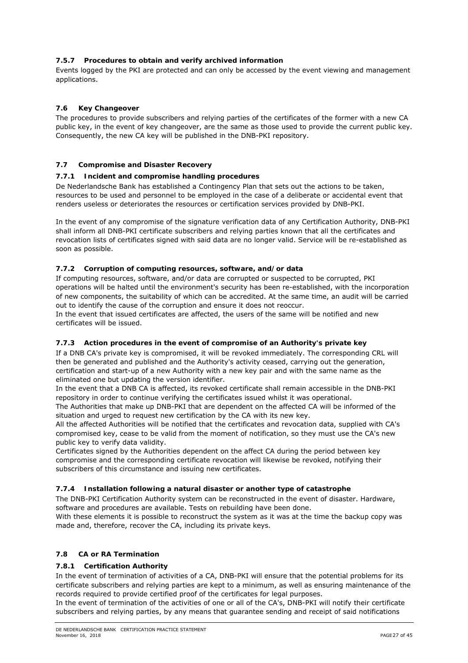# **7.5.7 Procedures to obtain and verify archived information**

Events logged by the PKI are protected and can only be accessed by the event viewing and management applications.

# **7.6 Key Changeover**

The procedures to provide subscribers and relying parties of the certificates of the former with a new CA public key, in the event of key changeover, are the same as those used to provide the current public key. Consequently, the new CA key will be published in the DNB-PKI repository.

## **7.7 Compromise and Disaster Recovery**

## **7.7.1 Incident and compromise handling procedures**

De Nederlandsche Bank has established a Contingency Plan that sets out the actions to be taken, resources to be used and personnel to be employed in the case of a deliberate or accidental event that renders useless or deteriorates the resources or certification services provided by DNB-PKI.

In the event of any compromise of the signature verification data of any Certification Authority, DNB-PKI shall inform all DNB-PKI certificate subscribers and relying parties known that all the certificates and revocation lists of certificates signed with said data are no longer valid. Service will be re-established as soon as possible.

## **7.7.2 Corruption of computing resources, software, and/or data**

If computing resources, software, and/or data are corrupted or suspected to be corrupted, PKI operations will be halted until the environment's security has been re-established, with the incorporation of new components, the suitability of which can be accredited. At the same time, an audit will be carried out to identify the cause of the corruption and ensure it does not reoccur.

In the event that issued certificates are affected, the users of the same will be notified and new certificates will be issued.

## **7.7.3 Action procedures in the event of compromise of an Authority's private key**

If a DNB CA's private key is compromised, it will be revoked immediately. The corresponding CRL will then be generated and published and the Authority's activity ceased, carrying out the generation, certification and start-up of a new Authority with a new key pair and with the same name as the eliminated one but updating the version identifier.

In the event that a DNB CA is affected, its revoked certificate shall remain accessible in the DNB-PKI repository in order to continue verifying the certificates issued whilst it was operational.

The Authorities that make up DNB-PKI that are dependent on the affected CA will be informed of the situation and urged to request new certification by the CA with its new key.

All the affected Authorities will be notified that the certificates and revocation data, supplied with CA's compromised key, cease to be valid from the moment of notification, so they must use the CA's new public key to verify data validity.

Certificates signed by the Authorities dependent on the affect CA during the period between key compromise and the corresponding certificate revocation will likewise be revoked, notifying their subscribers of this circumstance and issuing new certificates.

## **7.7.4 Installation following a natural disaster or another type of catastrophe**

The DNB-PKI Certification Authority system can be reconstructed in the event of disaster. Hardware, software and procedures are available. Tests on rebuilding have been done.

With these elements it is possible to reconstruct the system as it was at the time the backup copy was made and, therefore, recover the CA, including its private keys.

# **7.8 CA or RA Termination**

## **7.8.1 Certification Authority**

In the event of termination of activities of a CA, DNB-PKI will ensure that the potential problems for its certificate subscribers and relying parties are kept to a minimum, as well as ensuring maintenance of the records required to provide certified proof of the certificates for legal purposes.

In the event of termination of the activities of one or all of the CA's, DNB-PKI will notify their certificate subscribers and relying parties, by any means that guarantee sending and receipt of said notifications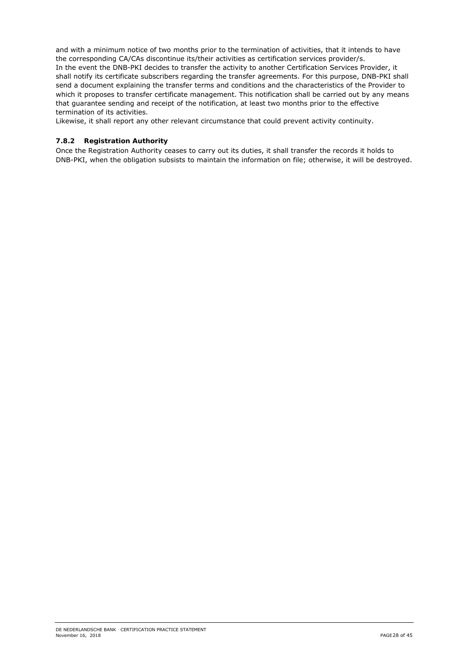and with a minimum notice of two months prior to the termination of activities, that it intends to have the corresponding CA/CAs discontinue its/their activities as certification services provider/s. In the event the DNB-PKI decides to transfer the activity to another Certification Services Provider, it shall notify its certificate subscribers regarding the transfer agreements. For this purpose, DNB-PKI shall send a document explaining the transfer terms and conditions and the characteristics of the Provider to which it proposes to transfer certificate management. This notification shall be carried out by any means that guarantee sending and receipt of the notification, at least two months prior to the effective termination of its activities.

Likewise, it shall report any other relevant circumstance that could prevent activity continuity.

#### **7.8.2 Registration Authority**

Once the Registration Authority ceases to carry out its duties, it shall transfer the records it holds to DNB-PKI, when the obligation subsists to maintain the information on file; otherwise, it will be destroyed.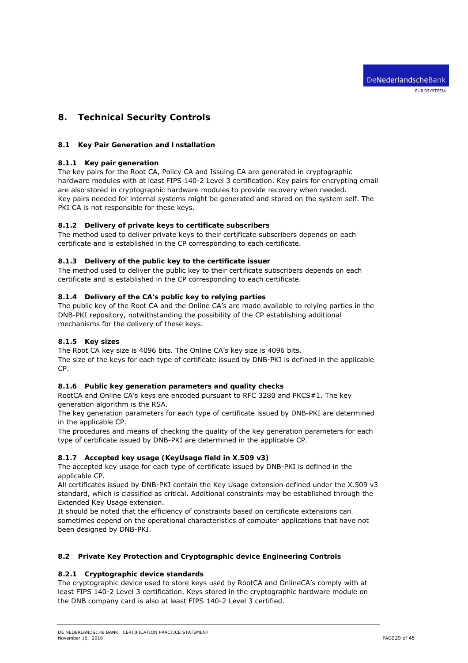# **8. Technical Security Controls**

#### **8.1 Key Pair Generation and Installation**

#### **8.1.1 Key pair generation**

The key pairs for the Root CA, Policy CA and Issuing CA are generated in cryptographic hardware modules with at least FIPS 140-2 Level 3 certification. Key pairs for encrypting email are also stored in cryptographic hardware modules to provide recovery when needed. Key pairs needed for internal systems might be generated and stored on the system self. The PKI CA is not responsible for these keys.

#### **8.1.2 Delivery of private keys to certificate subscribers**

The method used to deliver private keys to their certificate subscribers depends on each certificate and is established in the CP corresponding to each certificate.

#### **8.1.3 Delivery of the public key to the certificate issuer**

The method used to deliver the public key to their certificate subscribers depends on each certificate and is established in the CP corresponding to each certificate.

## **8.1.4 Delivery of the CA's public key to relying parties**

The public key of the Root CA and the Online CA's are made available to relying parties in the DNB-PKI repository, notwithstanding the possibility of the CP establishing additional mechanisms for the delivery of these keys.

## **8.1.5 Key sizes**

The Root CA key size is 4096 bits. The Online CA's key size is 4096 bits. The size of the keys for each type of certificate issued by DNB-PKI is defined in the applicable CP.

#### **8.1.6 Public key generation parameters and quality checks**

RootCA and Online CA's keys are encoded pursuant to RFC 3280 and PKCS#1. The key generation algorithm is the RSA.

The key generation parameters for each type of certificate issued by DNB-PKI are determined in the applicable CP.

The procedures and means of checking the quality of the key generation parameters for each type of certificate issued by DNB-PKI are determined in the applicable CP.

#### **8.1.7 Accepted key usage (KeyUsage field in X.509 v3)**

The accepted key usage for each type of certificate issued by DNB-PKI is defined in the applicable CP.

All certificates issued by DNB-PKI contain the Key Usage extension defined under the X.509 v3 standard, which is classified as critical. Additional constraints may be established through the Extended Key Usage extension.

It should be noted that the efficiency of constraints based on certificate extensions can sometimes depend on the operational characteristics of computer applications that have not been designed by DNB-PKI.

## **8.2 Private Key Protection and Cryptographic device Engineering Controls**

## **8.2.1 Cryptographic device standards**

The cryptographic device used to store keys used by RootCA and OnlineCA's comply with at least FIPS 140-2 Level 3 certification. Keys stored in the cryptographic hardware module on the DNB company card is also at least FIPS 140-2 Level 3 certified.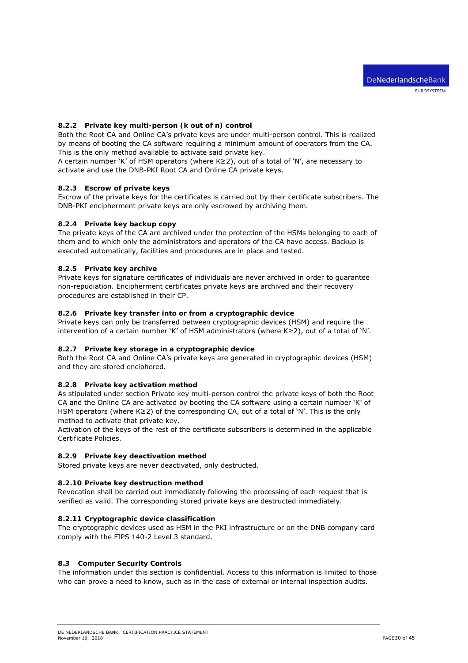## **8.2.2 Private key multi-person (k out of n) control**

Both the Root CA and Online CA's private keys are under multi-person control. This is realized by means of booting the CA software requiring a minimum amount of operators from the CA. This is the only method available to activate said private key.

A certain number 'K' of HSM operators (where K≥2), out of a total of 'N', are necessary to activate and use the DNB-PKI Root CA and Online CA private keys.

#### **8.2.3 Escrow of private keys**

Escrow of the private keys for the certificates is carried out by their certificate subscribers. The DNB-PKI encipherment private keys are only escrowed by archiving them.

#### **8.2.4 Private key backup copy**

The private keys of the CA are archived under the protection of the HSMs belonging to each of them and to which only the administrators and operators of the CA have access. Backup is executed automatically, facilities and procedures are in place and tested.

#### **8.2.5 Private key archive**

Private keys for signature certificates of individuals are never archived in order to guarantee non-repudiation. Encipherment certificates private keys are archived and their recovery procedures are established in their CP.

#### **8.2.6 Private key transfer into or from a cryptographic device**

Private keys can only be transferred between cryptographic devices (HSM) and require the intervention of a certain number 'K' of HSM administrators (where K≥2), out of a total of 'N'.

## **8.2.7 Private key storage in a cryptographic device**

Both the Root CA and Online CA's private keys are generated in cryptographic devices (HSM) and they are stored enciphered.

#### **8.2.8 Private key activation method**

As stipulated under section *Private key multi-person control* the private keys of both the Root CA and the Online CA are activated by booting the CA software using a certain number 'K' of HSM operators (where K≥2) of the corresponding CA, out of a total of 'N'. This is the only method to activate that private key.

Activation of the keys of the rest of the certificate subscribers is determined in the applicable Certificate Policies.

#### **8.2.9 Private key deactivation method**

Stored private keys are never deactivated, only destructed.

#### **8.2.10 Private key destruction method**

Revocation shall be carried out immediately following the processing of each request that is verified as valid. The corresponding stored private keys are destructed immediately.

#### **8.2.11 Cryptographic device classification**

The cryptographic devices used as HSM in the PKI infrastructure or on the DNB company card comply with the FIPS 140-2 Level 3 standard.

## **8.3 Computer Security Controls**

The information under this section is confidential. Access to this information is limited to those who can prove a need to know, such as in the case of external or internal inspection audits.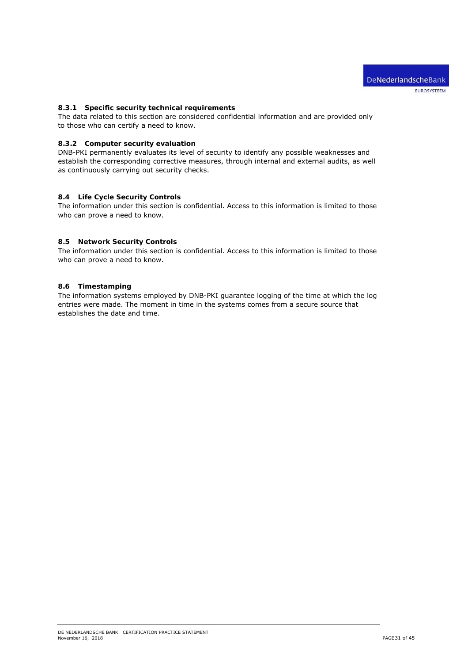## **8.3.1 Specific security technical requirements**

The data related to this section are considered confidential information and are provided only to those who can certify a need to know.

#### **8.3.2 Computer security evaluation**

DNB-PKI permanently evaluates its level of security to identify any possible weaknesses and establish the corresponding corrective measures, through internal and external audits, as well as continuously carrying out security checks.

#### **8.4 Life Cycle Security Controls**

The information under this section is confidential. Access to this information is limited to those who can prove a need to know.

### **8.5 Network Security Controls**

The information under this section is confidential. Access to this information is limited to those who can prove a need to know.

#### **8.6 Timestamping**

The information systems employed by DNB-PKI guarantee logging of the time at which the log entries were made. The moment in time in the systems comes from a secure source that establishes the date and time.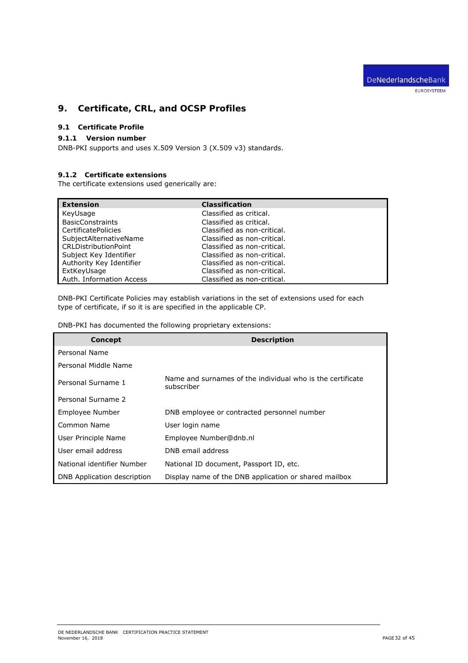DeNederlandscheBank

EUROSYSTEEM

# **9. Certificate, CRL, and OCSP Profiles**

# **9.1 Certificate Profile**

## **9.1.1 Version number**

DNB-PKI supports and uses X.509 Version 3 (X.509 v3) standards.

# **9.1.2 Certificate extensions**

The certificate extensions used generically are:

| <b>Extension</b>           | <b>Classification</b>       |
|----------------------------|-----------------------------|
| KeyUsage                   | Classified as critical.     |
| <b>BasicConstraints</b>    | Classified as critical.     |
| <b>CertificatePolicies</b> | Classified as non-critical. |
| SubjectAlternativeName     | Classified as non-critical. |
| CRLDistributionPoint       | Classified as non-critical. |
| Subject Key Identifier     | Classified as non-critical. |
| Authority Key Identifier   | Classified as non-critical. |
| ExtKeyUsage                | Classified as non-critical. |
| Auth. Information Access   | Classified as non-critical. |

DNB-PKI Certificate Policies may establish variations in the set of extensions used for each type of certificate, if so it is are specified in the applicable CP.

| DNB-PKI has documented the following proprietary extensions: |  |  |  |
|--------------------------------------------------------------|--|--|--|
|--------------------------------------------------------------|--|--|--|

| Concept                     | <b>Description</b>                                                       |
|-----------------------------|--------------------------------------------------------------------------|
| Personal Name               |                                                                          |
| Personal Middle Name        |                                                                          |
| Personal Surname 1          | Name and surnames of the individual who is the certificate<br>subscriber |
| Personal Surname 2          |                                                                          |
| Employee Number             | DNB employee or contracted personnel number                              |
| Common Name                 | User login name                                                          |
| User Principle Name         | Employee Number@dnb.nl                                                   |
| User email address          | DNB email address                                                        |
| National identifier Number  | National ID document, Passport ID, etc.                                  |
| DNB Application description | Display name of the DNB application or shared mailbox                    |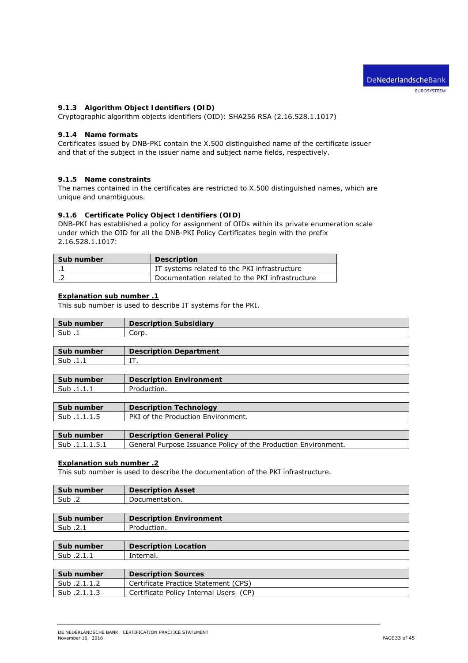# **9.1.3 Algorithm Object Identifiers (OID)**

Cryptographic algorithm objects identifiers (OID): SHA256 RSA (2.16.528.1.1017)

#### **9.1.4 Name formats**

Certificates issued by DNB-PKI contain the X.500 distinguished name of the certificate issuer and that of the subject in the issuer name and subject name fields, respectively.

#### **9.1.5 Name constraints**

The names contained in the certificates are restricted to X.500 distinguished names, which are unique and unambiguous.

#### **9.1.6 Certificate Policy Object Identifiers (OID)**

DNB-PKI has established a policy for assignment of OIDs within its private enumeration scale under which the OID for all the DNB-PKI Policy Certificates begin with the prefix 2.16.528.1.1017:

| Sub number | Description                                     |
|------------|-------------------------------------------------|
|            | IT systems related to the PKI infrastructure    |
|            | Documentation related to the PKI infrastructure |

## **Explanation sub number .1**

This sub number is used to describe IT systems for the PKI.

| Sub number | <b>Description Subsidiary</b> |
|------------|-------------------------------|
| Sub .i     | Corp.                         |
|            |                               |

| Sub number | <b>Description Department</b> |
|------------|-------------------------------|
| Sub        | <b>TT</b><br>.                |

| Sub number | <b>Description Environment</b> |
|------------|--------------------------------|
| Sub.1.1.1  | Production.                    |
|            |                                |

| Sub number   | <b>Description Technology</b>      |
|--------------|------------------------------------|
| Sub .1.1.1.5 | PKI of the Production Environment. |
|              |                                    |

| Sub number    | <b>Description General Policy</b>                              |
|---------------|----------------------------------------------------------------|
| Sub.1.1.1.5.1 | General Purpose Issuance Policy of the Production Environment. |

# **Explanation sub number .2**

This sub number is used to describe the documentation of the PKI infrastructure.

| Sub number | <b>Description Asset</b>       |
|------------|--------------------------------|
| Sub.2      | Documentation.                 |
|            |                                |
| Sub number | <b>Description Environment</b> |
| Sub .2.1   | Production.                    |
|            |                                |
| Sub number | <b>Description Location</b>    |
| Sub.2.1.1  | Internal.                      |
|            |                                |
| Sub number | <b>Description Sources</b>     |

| <b>JUD HULLINGL</b> | <b>Description</b> Sources             |
|---------------------|----------------------------------------|
| Sub .2.1.1.2        | Certificate Practice Statement (CPS)   |
| Sub .2.1.1.3        | Certificate Policy Internal Users (CP) |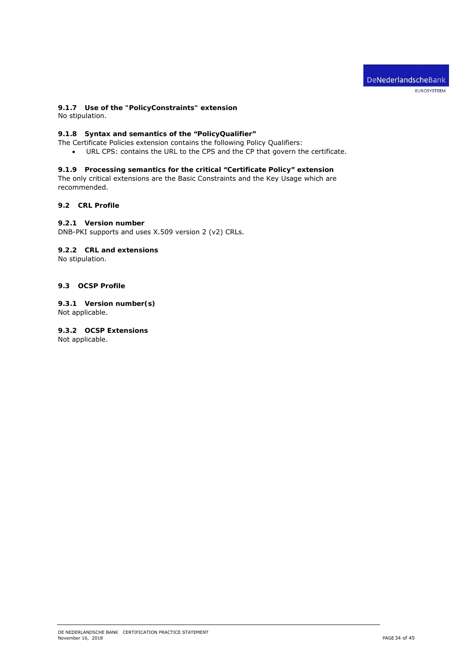

# **9.1.7 Use of the "PolicyConstraints" extension**

No stipulation.

# **9.1.8 Syntax and semantics of the "PolicyQualifier"**

The Certificate Policies extension contains the following Policy Qualifiers:

URL CPS: contains the URL to the CPS and the CP that govern the certificate.

# **9.1.9 Processing semantics for the critical "Certificate Policy" extension**

The only critical extensions are the Basic Constraints and the Key Usage which are recommended.

#### **9.2 CRL Profile**

#### **9.2.1 Version number**

DNB-PKI supports and uses X.509 version 2 (v2) CRLs.

# **9.2.2 CRL and extensions**

No stipulation.

#### **9.3 OCSP Profile**

**9.3.1 Version number(s)**  Not applicable.

**9.3.2 OCSP Extensions**  Not applicable.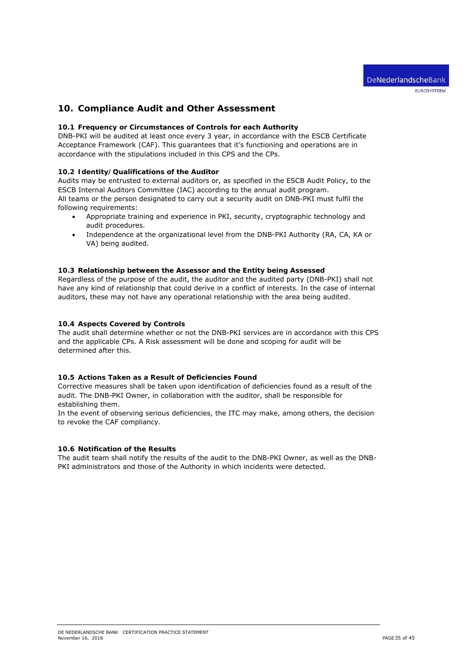# **10. Compliance Audit and Other Assessment**

#### **10.1 Frequency or Circumstances of Controls for each Authority**

DNB-PKI will be audited at least once every 3 year, in accordance with the ESCB Certificate Acceptance Framework (CAF). This guarantees that it's functioning and operations are in accordance with the stipulations included in this CPS and the CPs.

#### **10.2 Identity/Qualifications of the Auditor**

Audits may be entrusted to external auditors or, as specified in the ESCB Audit Policy, to the ESCB Internal Auditors Committee (IAC) according to the annual audit program. All teams or the person designated to carry out a security audit on DNB-PKI must fulfil the following requirements:

- Appropriate training and experience in PKI, security, cryptographic technology and audit procedures.
- Independence at the organizational level from the DNB-PKI Authority (RA, CA, KA or VA) being audited.

#### **10.3 Relationship between the Assessor and the Entity being Assessed**

Regardless of the purpose of the audit, the auditor and the audited party (DNB-PKI) shall not have any kind of relationship that could derive in a conflict of interests. In the case of internal auditors, these may not have any operational relationship with the area being audited.

#### **10.4 Aspects Covered by Controls**

The audit shall determine whether or not the DNB-PKI services are in accordance with this CPS and the applicable CPs. A Risk assessment will be done and scoping for audit will be determined after this.

#### **10.5 Actions Taken as a Result of Deficiencies Found**

Corrective measures shall be taken upon identification of deficiencies found as a result of the audit. The DNB-PKI Owner, in collaboration with the auditor, shall be responsible for establishing them.

In the event of observing serious deficiencies, the ITC may make, among others, the decision to revoke the CAF compliancy.

#### **10.6 Notification of the Results**

The audit team shall notify the results of the audit to the DNB-PKI Owner, as well as the DNB-PKI administrators and those of the Authority in which incidents were detected.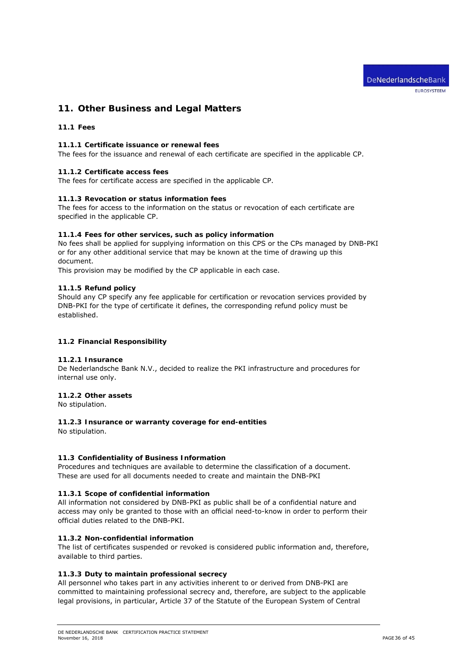# **11. Other Business and Legal Matters**

# **11.1 Fees**

# **11.1.1 Certificate issuance or renewal fees**

The fees for the issuance and renewal of each certificate are specified in the applicable CP.

# **11.1.2 Certificate access fees**

The fees for certificate access are specified in the applicable CP.

# **11.1.3 Revocation or status information fees**

The fees for access to the information on the status or revocation of each certificate are specified in the applicable CP.

# **11.1.4 Fees for other services, such as policy information**

No fees shall be applied for supplying information on this CPS or the CPs managed by DNB-PKI or for any other additional service that may be known at the time of drawing up this document.

This provision may be modified by the CP applicable in each case.

# **11.1.5 Refund policy**

Should any CP specify any fee applicable for certification or revocation services provided by DNB-PKI for the type of certificate it defines, the corresponding refund policy must be established.

# **11.2 Financial Responsibility**

# **11.2.1 Insurance**

De Nederlandsche Bank N.V., decided to realize the PKI infrastructure and procedures for internal use only.

# **11.2.2 Other assets**

No stipulation.

# **11.2.3 Insurance or warranty coverage for end-entities**

No stipulation.

# **11.3 Confidentiality of Business Information**

Procedures and techniques are available to determine the classification of a document. These are used for all documents needed to create and maintain the DNB-PKI

# **11.3.1 Scope of confidential information**

All information not considered by DNB-PKI as public shall be of a confidential nature and access may only be granted to those with an official need-to-know in order to perform their official duties related to the DNB-PKI.

# **11.3.2 Non-confidential information**

The list of certificates suspended or revoked is considered public information and, therefore, available to third parties.

# **11.3.3 Duty to maintain professional secrecy**

All personnel who takes part in any activities inherent to or derived from DNB-PKI are committed to maintaining professional secrecy and, therefore, are subject to the applicable legal provisions, in particular, Article 37 of the Statute of the European System of Central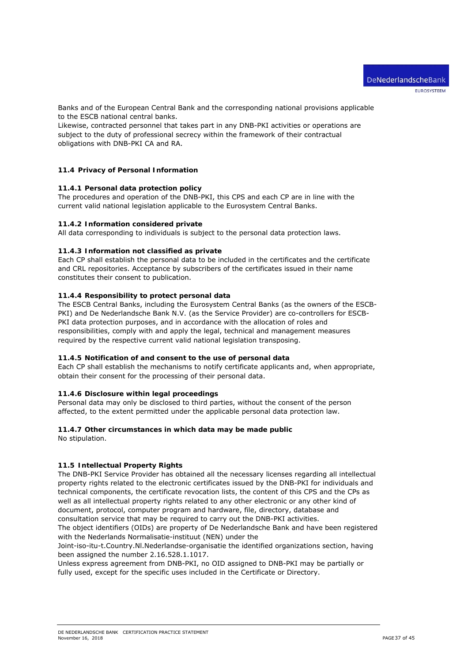Banks and of the European Central Bank and the corresponding national provisions applicable to the ESCB national central banks.

Likewise, contracted personnel that takes part in any DNB-PKI activities or operations are subject to the duty of professional secrecy within the framework of their contractual obligations with DNB-PKI CA and RA.

## **11.4 Privacy of Personal Information**

#### **11.4.1 Personal data protection policy**

The procedures and operation of the DNB-PKI, this CPS and each CP are in line with the current valid national legislation applicable to the Eurosystem Central Banks.

#### **11.4.2 Information considered private**

All data corresponding to individuals is subject to the personal data protection laws.

#### **11.4.3 Information not classified as private**

Each CP shall establish the personal data to be included in the certificates and the certificate and CRL repositories. Acceptance by subscribers of the certificates issued in their name constitutes their consent to publication.

#### **11.4.4 Responsibility to protect personal data**

The ESCB Central Banks, including the Eurosystem Central Banks (as the owners of the ESCB-PKI) and De Nederlandsche Bank N.V. (as the Service Provider) are co-controllers for ESCB-PKI data protection purposes, and in accordance with the allocation of roles and responsibilities, comply with and apply the legal, technical and management measures required by the respective current valid national legislation transposing.

#### **11.4.5 Notification of and consent to the use of personal data**

Each CP shall establish the mechanisms to notify certificate applicants and, when appropriate, obtain their consent for the processing of their personal data.

## **11.4.6 Disclosure within legal proceedings**

Personal data may only be disclosed to third parties, without the consent of the person affected, to the extent permitted under the applicable personal data protection law.

#### **11.4.7 Other circumstances in which data may be made public**

No stipulation.

#### **11.5 Intellectual Property Rights**

The DNB-PKI Service Provider has obtained all the necessary licenses regarding all intellectual property rights related to the electronic certificates issued by the DNB-PKI for individuals and technical components, the certificate revocation lists, the content of this CPS and the CPs as well as all intellectual property rights related to any other electronic or any other kind of document, protocol, computer program and hardware, file, directory, database and consultation service that may be required to carry out the DNB-PKI activities.

The object identifiers (OIDs) are property of De Nederlandsche Bank and have been registered with the Nederlands Normalisatie-instituut (NEN) under the

Joint-iso-itu-t.Country.Nl.Nederlandse-organisatie the identified organizations section, having been assigned the number 2.16.528.1.1017.

Unless express agreement from DNB-PKI, no OID assigned to DNB-PKI may be partially or fully used, except for the specific uses included in the Certificate or Directory.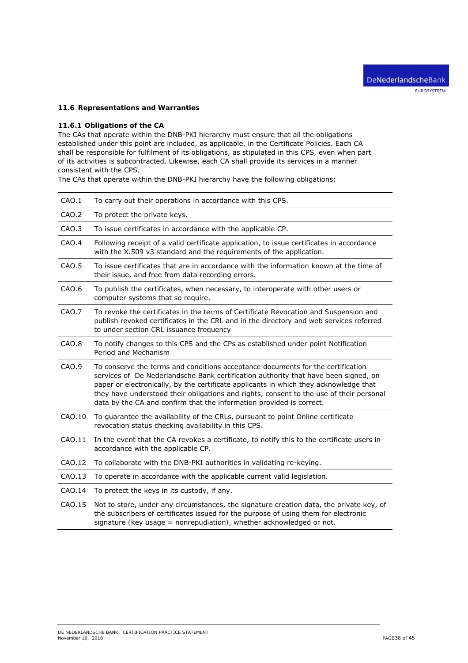# **11.6 Representations and Warranties**

#### **11.6.1 Obligations of the CA**

The CAs that operate within the DNB-PKI hierarchy must ensure that all the obligations established under this point are included, as applicable, in the Certificate Policies. Each CA shall be responsible for fulfilment of its obligations, as stipulated in this CPS, even when part of its activities is subcontracted. Likewise, each CA shall provide its services in a manner consistent with the CPS.

The CAs that operate within the DNB-PKI hierarchy have the following obligations:

| CAO.1  | To carry out their operations in accordance with this CPS.                                                                                                                                                                                                                                                                                                                                                                         |
|--------|------------------------------------------------------------------------------------------------------------------------------------------------------------------------------------------------------------------------------------------------------------------------------------------------------------------------------------------------------------------------------------------------------------------------------------|
| CAO.2  | To protect the private keys.                                                                                                                                                                                                                                                                                                                                                                                                       |
| CAO.3  | To issue certificates in accordance with the applicable CP.                                                                                                                                                                                                                                                                                                                                                                        |
| CAO.4  | Following receipt of a valid certificate application, to issue certificates in accordance<br>with the X.509 v3 standard and the requirements of the application.                                                                                                                                                                                                                                                                   |
| CAO.5  | To issue certificates that are in accordance with the information known at the time of<br>their issue, and free from data recording errors.                                                                                                                                                                                                                                                                                        |
| CAO.6  | To publish the certificates, when necessary, to interoperate with other users or<br>computer systems that so require.                                                                                                                                                                                                                                                                                                              |
| CAO.7  | To revoke the certificates in the terms of Certificate Revocation and Suspension and<br>publish revoked certificates in the CRL and in the directory and web services referred<br>to under section CRL issuance frequency                                                                                                                                                                                                          |
| CAO.8  | To notify changes to this CPS and the CPs as established under point Notification<br>Period and Mechanism                                                                                                                                                                                                                                                                                                                          |
| CAO.9  | To conserve the terms and conditions acceptance documents for the certification<br>services of De Nederlandsche Bank certification authority that have been signed, on<br>paper or electronically, by the certificate applicants in which they acknowledge that<br>they have understood their obligations and rights, consent to the use of their personal<br>data by the CA and confirm that the information provided is correct. |
| CAO.10 | To guarantee the availability of the CRLs, pursuant to point Online certificate<br>revocation status checking availability in this CPS.                                                                                                                                                                                                                                                                                            |
| CAO.11 | In the event that the CA revokes a certificate, to notify this to the certificate users in                                                                                                                                                                                                                                                                                                                                         |
|        | accordance with the applicable CP.                                                                                                                                                                                                                                                                                                                                                                                                 |
| CAO.12 | To collaborate with the DNB-PKI authorities in validating re-keying.                                                                                                                                                                                                                                                                                                                                                               |
| CAO.13 | To operate in accordance with the applicable current valid legislation.                                                                                                                                                                                                                                                                                                                                                            |
| CAO.14 | To protect the keys in its custody, if any.                                                                                                                                                                                                                                                                                                                                                                                        |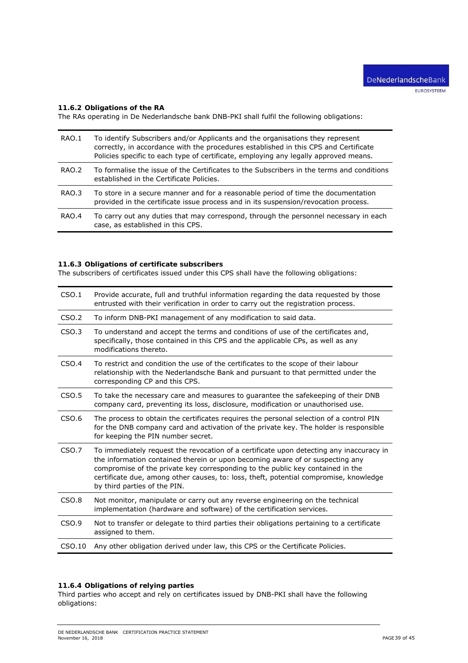# **11.6.2 Obligations of the RA**

The RAs operating in De Nederlandsche bank DNB-PKI shall fulfil the following obligations:

| RAO.1 | To identify Subscribers and/or Applicants and the organisations they represent<br>correctly, in accordance with the procedures established in this CPS and Certificate<br>Policies specific to each type of certificate, employing any legally approved means. |
|-------|----------------------------------------------------------------------------------------------------------------------------------------------------------------------------------------------------------------------------------------------------------------|
| RAO.2 | To formalise the issue of the Certificates to the Subscribers in the terms and conditions<br>established in the Certificate Policies.                                                                                                                          |
| RAO.3 | To store in a secure manner and for a reasonable period of time the documentation<br>provided in the certificate issue process and in its suspension/revocation process.                                                                                       |
| RAO.4 | To carry out any duties that may correspond, through the personnel necessary in each<br>case, as established in this CPS.                                                                                                                                      |

## **11.6.3 Obligations of certificate subscribers**

The subscribers of certificates issued under this CPS shall have the following obligations:

| CSO.1             | Provide accurate, full and truthful information regarding the data requested by those<br>entrusted with their verification in order to carry out the registration process.                                                                                                                                                                                                          |
|-------------------|-------------------------------------------------------------------------------------------------------------------------------------------------------------------------------------------------------------------------------------------------------------------------------------------------------------------------------------------------------------------------------------|
| CSO.2             | To inform DNB-PKI management of any modification to said data.                                                                                                                                                                                                                                                                                                                      |
| CSO.3             | To understand and accept the terms and conditions of use of the certificates and,<br>specifically, those contained in this CPS and the applicable CPs, as well as any<br>modifications thereto.                                                                                                                                                                                     |
| CSO.4             | To restrict and condition the use of the certificates to the scope of their labour<br>relationship with the Nederlandsche Bank and pursuant to that permitted under the<br>corresponding CP and this CPS.                                                                                                                                                                           |
| CSO.5             | To take the necessary care and measures to guarantee the safekeeping of their DNB<br>company card, preventing its loss, disclosure, modification or unauthorised use.                                                                                                                                                                                                               |
| CSO.6             | The process to obtain the certificates requires the personal selection of a control PIN<br>for the DNB company card and activation of the private key. The holder is responsible<br>for keeping the PIN number secret.                                                                                                                                                              |
| CSO.7             | To immediately request the revocation of a certificate upon detecting any inaccuracy in<br>the information contained therein or upon becoming aware of or suspecting any<br>compromise of the private key corresponding to the public key contained in the<br>certificate due, among other causes, to: loss, theft, potential compromise, knowledge<br>by third parties of the PIN. |
| CSO <sub>.8</sub> | Not monitor, manipulate or carry out any reverse engineering on the technical<br>implementation (hardware and software) of the certification services.                                                                                                                                                                                                                              |
| CSO.9             | Not to transfer or delegate to third parties their obligations pertaining to a certificate<br>assigned to them.                                                                                                                                                                                                                                                                     |
| CSO.10            | Any other obligation derived under law, this CPS or the Certificate Policies.                                                                                                                                                                                                                                                                                                       |

#### **11.6.4 Obligations of relying parties**

Third parties who accept and rely on certificates issued by DNB-PKI shall have the following obligations: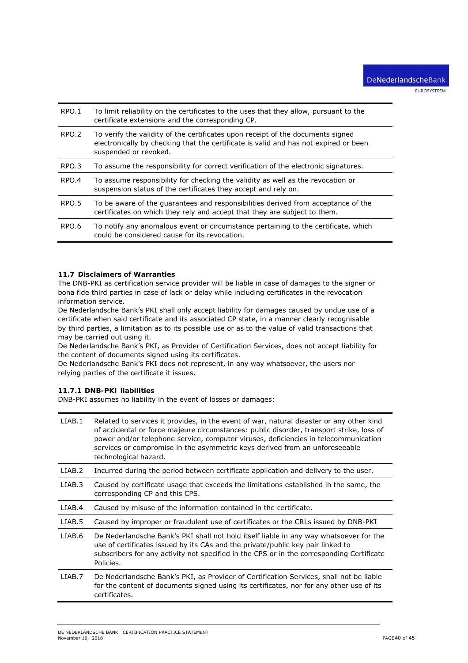| RPO.1 | To limit reliability on the certificates to the uses that they allow, pursuant to the<br>certificate extensions and the corresponding CP.                                                        |
|-------|--------------------------------------------------------------------------------------------------------------------------------------------------------------------------------------------------|
| RPO.2 | To verify the validity of the certificates upon receipt of the documents signed<br>electronically by checking that the certificate is valid and has not expired or been<br>suspended or revoked. |
| RPO.3 | To assume the responsibility for correct verification of the electronic signatures.                                                                                                              |
| RPO.4 | To assume responsibility for checking the validity as well as the revocation or<br>suspension status of the certificates they accept and rely on.                                                |
| RPO.5 | To be aware of the quarantees and responsibilities derived from acceptance of the<br>certificates on which they rely and accept that they are subject to them.                                   |
| RPO.6 | To notify any anomalous event or circumstance pertaining to the certificate, which<br>could be considered cause for its revocation.                                                              |

## **11.7 Disclaimers of Warranties**

The DNB-PKI as certification service provider will be liable in case of damages to the signer or bona fide third parties in case of lack or delay while including certificates in the revocation information service.

De Nederlandsche Bank's PKI shall only accept liability for damages caused by undue use of a certificate when said certificate and its associated CP state, in a manner clearly recognisable by third parties, a limitation as to its possible use or as to the value of valid transactions that may be carried out using it.

De Nederlandsche Bank's PKI, as Provider of Certification Services, does not accept liability for the content of documents signed using its certificates.

De Nederlandsche Bank's PKI does not represent, in any way whatsoever, the users nor relying parties of the certificate it issues.

## **11.7.1 DNB-PKI liabilities**

DNB-PKI assumes no liability in the event of losses or damages:

| LIAB.1 | Related to services it provides, in the event of war, natural disaster or any other kind<br>of accidental or force majeure circumstances: public disorder, transport strike, loss of<br>power and/or telephone service, computer viruses, deficiencies in telecommunication<br>services or compromise in the asymmetric keys derived from an unforeseeable<br>technological hazard. |
|--------|-------------------------------------------------------------------------------------------------------------------------------------------------------------------------------------------------------------------------------------------------------------------------------------------------------------------------------------------------------------------------------------|
| LIAB.2 | Incurred during the period between certificate application and delivery to the user.                                                                                                                                                                                                                                                                                                |
| LIAB.3 | Caused by certificate usage that exceeds the limitations established in the same, the<br>corresponding CP and this CPS.                                                                                                                                                                                                                                                             |
| LIAB.4 | Caused by misuse of the information contained in the certificate.                                                                                                                                                                                                                                                                                                                   |
| LIAB.5 | Caused by improper or fraudulent use of certificates or the CRLs issued by DNB-PKI                                                                                                                                                                                                                                                                                                  |
| LIAB.6 | De Nederlandsche Bank's PKI shall not hold itself liable in any way whatsoever for the<br>use of certificates issued by its CAs and the private/public key pair linked to<br>subscribers for any activity not specified in the CPS or in the corresponding Certificate<br>Policies.                                                                                                 |
| LIAB.7 | De Nederlandsche Bank's PKI, as Provider of Certification Services, shall not be liable<br>for the content of documents signed using its certificates, nor for any other use of its<br>certificates.                                                                                                                                                                                |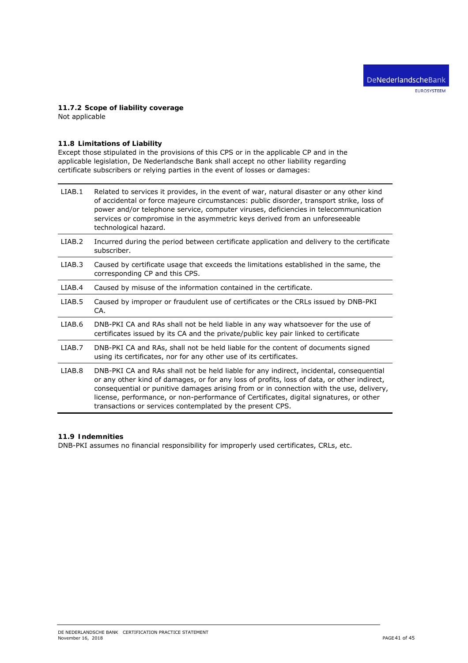# **11.7.2 Scope of liability coverage**

Not applicable

# **11.8 Limitations of Liability**

Except those stipulated in the provisions of this CPS or in the applicable CP and in the applicable legislation, De Nederlandsche Bank shall accept no other liability regarding certificate subscribers or relying parties in the event of losses or damages:

| LIAB.1 | Related to services it provides, in the event of war, natural disaster or any other kind<br>of accidental or force majeure circumstances: public disorder, transport strike, loss of<br>power and/or telephone service, computer viruses, deficiencies in telecommunication<br>services or compromise in the asymmetric keys derived from an unforeseeable<br>technological hazard.                                                     |
|--------|-----------------------------------------------------------------------------------------------------------------------------------------------------------------------------------------------------------------------------------------------------------------------------------------------------------------------------------------------------------------------------------------------------------------------------------------|
| LIAB.2 | Incurred during the period between certificate application and delivery to the certificate<br>subscriber.                                                                                                                                                                                                                                                                                                                               |
| LIAB.3 | Caused by certificate usage that exceeds the limitations established in the same, the<br>corresponding CP and this CPS.                                                                                                                                                                                                                                                                                                                 |
| LIAB.4 | Caused by misuse of the information contained in the certificate.                                                                                                                                                                                                                                                                                                                                                                       |
| LIAB.5 | Caused by improper or fraudulent use of certificates or the CRLs issued by DNB-PKI<br>CA.                                                                                                                                                                                                                                                                                                                                               |
| LIAB.6 | DNB-PKI CA and RAs shall not be held liable in any way whatsoever for the use of<br>certificates issued by its CA and the private/public key pair linked to certificate                                                                                                                                                                                                                                                                 |
| LIAB.7 | DNB-PKI CA and RAs, shall not be held liable for the content of documents signed<br>using its certificates, nor for any other use of its certificates.                                                                                                                                                                                                                                                                                  |
| LIAB.8 | DNB-PKI CA and RAs shall not be held liable for any indirect, incidental, consequential<br>or any other kind of damages, or for any loss of profits, loss of data, or other indirect,<br>consequential or punitive damages arising from or in connection with the use, delivery,<br>license, performance, or non-performance of Certificates, digital signatures, or other<br>transactions or services contemplated by the present CPS. |

# **11.9 Indemnities**

DNB-PKI assumes no financial responsibility for improperly used certificates, CRLs, etc.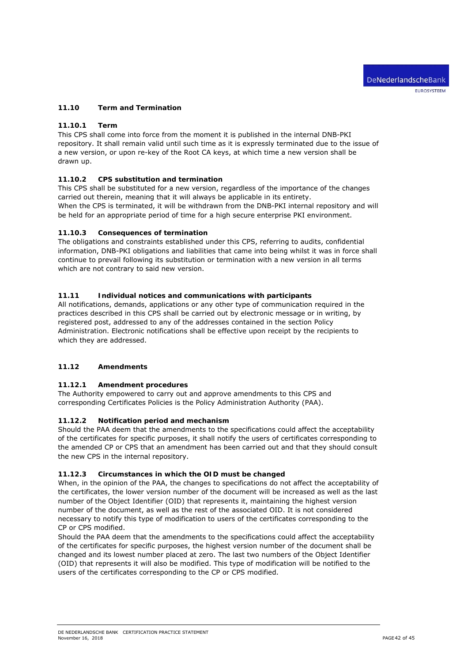# **11.10 Term and Termination**

## **11.10.1 Term**

This CPS shall come into force from the moment it is published in the internal DNB-PKI repository. It shall remain valid until such time as it is expressly terminated due to the issue of a new version, or upon re-key of the Root CA keys, at which time a new version shall be drawn up.

# **11.10.2 CPS substitution and termination**

This CPS shall be substituted for a new version, regardless of the importance of the changes carried out therein, meaning that it will always be applicable in its entirety. When the CPS is terminated, it will be withdrawn from the DNB-PKI internal repository and will be held for an appropriate period of time for a high secure enterprise PKI environment.

#### **11.10.3 Consequences of termination**

The obligations and constraints established under this CPS, referring to audits, confidential information, DNB-PKI obligations and liabilities that came into being whilst it was in force shall continue to prevail following its substitution or termination with a new version in all terms which are not contrary to said new version.

## **11.11 Individual notices and communications with participants**

All notifications, demands, applications or any other type of communication required in the practices described in this CPS shall be carried out by electronic message or in writing, by registered post, addressed to any of the addresses contained in the section *Policy Administration*. Electronic notifications shall be effective upon receipt by the recipients to which they are addressed.

## **11.12 Amendments**

#### **11.12.1 Amendment procedures**

The Authority empowered to carry out and approve amendments to this CPS and corresponding Certificates Policies is the Policy Administration Authority (PAA).

#### **11.12.2 Notification period and mechanism**

Should the PAA deem that the amendments to the specifications could affect the acceptability of the certificates for specific purposes, it shall notify the users of certificates corresponding to the amended CP or CPS that an amendment has been carried out and that they should consult the new CPS in the internal repository.

#### **11.12.3 Circumstances in which the OID must be changed**

When, in the opinion of the PAA, the changes to specifications do not affect the acceptability of the certificates, the lower version number of the document will be increased as well as the last number of the Object Identifier (OID) that represents it, maintaining the highest version number of the document, as well as the rest of the associated OID. It is not considered necessary to notify this type of modification to users of the certificates corresponding to the CP or CPS modified.

Should the PAA deem that the amendments to the specifications could affect the acceptability of the certificates for specific purposes, the highest version number of the document shall be changed and its lowest number placed at zero. The last two numbers of the Object Identifier (OID) that represents it will also be modified. This type of modification will be notified to the users of the certificates corresponding to the CP or CPS modified.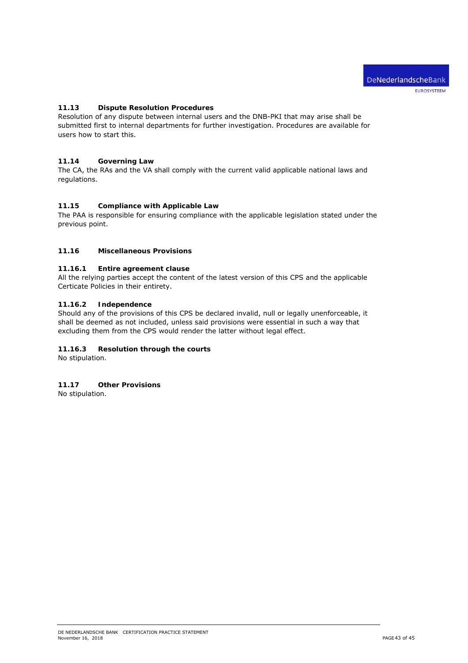# **11.13 Dispute Resolution Procedures**

Resolution of any dispute between internal users and the DNB-PKI that may arise shall be submitted first to internal departments for further investigation. Procedures are available for users how to start this.

#### **11.14 Governing Law**

The CA, the RAs and the VA shall comply with the current valid applicable national laws and regulations.

#### **11.15 Compliance with Applicable Law**

The PAA is responsible for ensuring compliance with the applicable legislation stated under the previous point.

#### **11.16 Miscellaneous Provisions**

#### **11.16.1 Entire agreement clause**

All the relying parties accept the content of the latest version of this CPS and the applicable Certicate Policies in their entirety.

#### **11.16.2 Independence**

Should any of the provisions of this CPS be declared invalid, null or legally unenforceable, it shall be deemed as not included, unless said provisions were essential in such a way that excluding them from the CPS would render the latter without legal effect.

# **11.16.3 Resolution through the courts**

No stipulation.

#### **11.17 Other Provisions**

No stipulation.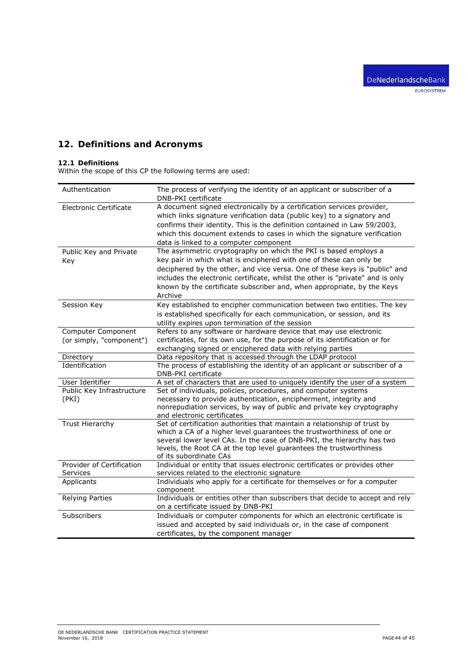# **12. Definitions and Acronyms**

#### **12.1 Definitions**

Within the scope of this CP the following terms are used:

| Authentication                | The process of verifying the identity of an applicant or subscriber of a<br>DNB-PKI certificate |
|-------------------------------|-------------------------------------------------------------------------------------------------|
| <b>Electronic Certificate</b> | A document signed electronically by a certification services provider,                          |
|                               | which links signature verification data (public key) to a signatory and                         |
|                               | confirms their identity. This is the definition contained in Law 59/2003,                       |
|                               | which this document extends to cases in which the signature verification                        |
|                               |                                                                                                 |
|                               | data is linked to a computer component                                                          |
| Public Key and Private        | The asymmetric cryptography on which the PKI is based employs a                                 |
| Key                           | key pair in which what is enciphered with one of these can only be                              |
|                               | deciphered by the other, and vice versa. One of these keys is "public" and                      |
|                               | includes the electronic certificate, whilst the other is "private" and is only                  |
|                               | known by the certificate subscriber and, when appropriate, by the Keys                          |
|                               | Archive                                                                                         |
| Session Key                   | Key established to encipher communication between two entities. The key                         |
|                               | is established specifically for each communication, or session, and its                         |
|                               | utility expires upon termination of the session                                                 |
| Computer Component            | Refers to any software or hardware device that may use electronic                               |
| (or simply, "component")      | certificates, for its own use, for the purpose of its identification or for                     |
|                               | exchanging signed or enciphered data with relying parties                                       |
| Directory                     | Data repository that is accessed through the LDAP protocol                                      |
| Identification                | The process of establishing the identity of an applicant or subscriber of a                     |
|                               | DNB-PKI certificate                                                                             |
| User Identifier               | A set of characters that are used to uniquely identify the user of a system                     |
| Public Key Infrastructure     | Set of individuals, policies, procedures, and computer systems                                  |
| (PKI)                         | necessary to provide authentication, encipherment, integrity and                                |
|                               | nonrepudiation services, by way of public and private key cryptography                          |
|                               | and electronic certificates                                                                     |
| Trust Hierarchy               | Set of certification authorities that maintain a relationship of trust by                       |
|                               | which a CA of a higher level guarantees the trustworthiness of one or                           |
|                               | several lower level CAs. In the case of DNB-PKI, the hierarchy has two                          |
|                               | levels, the Root CA at the top level guarantees the trustworthiness                             |
|                               | of its subordinate CAs                                                                          |
| Provider of Certification     | Individual or entity that issues electronic certificates or provides other                      |
| Services                      | services related to the electronic signature                                                    |
| Applicants                    | Individuals who apply for a certificate for themselves or for a computer                        |
|                               | component                                                                                       |
| <b>Relying Parties</b>        | Individuals or entities other than subscribers that decide to accept and rely                   |
|                               | on a certificate issued by DNB-PKI                                                              |
| Subscribers                   | Individuals or computer components for which an electronic certificate is                       |
|                               | issued and accepted by said individuals or, in the case of component                            |
|                               | certificates, by the component manager                                                          |